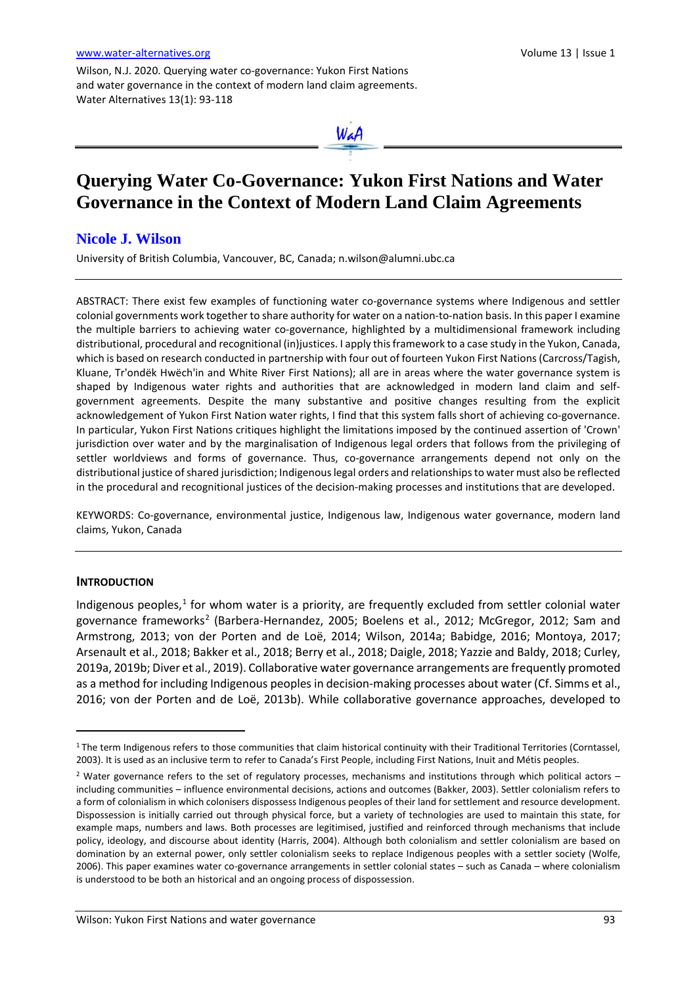Wilson, N.J. 2020. Querying water co-governance: Yukon First Nations and water governance in the context of modern land claim agreements. Water Alternatives 13(1): 93-118



# **Querying Water Co-Governance: Yukon First Nations and Water Governance in the Context of Modern Land Claim Agreements**

## **Nicole J. Wilson**

University of British Columbia, Vancouver, BC, Canada[; n.wilson@alumni.ubc.ca](mailto:n.wilson@alumni.ubc.ca)

ABSTRACT: There exist few examples of functioning water co-governance systems where Indigenous and settler colonial governments work together to share authority for water on a nation-to-nation basis. In this paper I examine the multiple barriers to achieving water co-governance, highlighted by a multidimensional framework including distributional, procedural and recognitional (in)justices. I apply this framework to a case study in the Yukon, Canada, which is based on research conducted in partnership with four out of fourteen Yukon First Nations (Carcross/Tagish, Kluane, Tr'ondëk Hwëch'in and White River First Nations); all are in areas where the water governance system is shaped by Indigenous water rights and authorities that are acknowledged in modern land claim and selfgovernment agreements. Despite the many substantive and positive changes resulting from the explicit acknowledgement of Yukon First Nation water rights, I find that this system falls short of achieving co-governance. In particular, Yukon First Nations critiques highlight the limitations imposed by the continued assertion of 'Crown' jurisdiction over water and by the marginalisation of Indigenous legal orders that follows from the privileging of settler worldviews and forms of governance. Thus, co-governance arrangements depend not only on the distributional justice of shared jurisdiction; Indigenous legal orders and relationships to water must also be reflected in the procedural and recognitional justices of the decision-making processes and institutions that are developed.

KEYWORDS: Co-governance, environmental justice, Indigenous law, Indigenous water governance, modern land claims, Yukon, Canada

#### **INTRODUCTION**

 $\overline{a}$ 

Indigenous peoples, $<sup>1</sup>$  $<sup>1</sup>$  $<sup>1</sup>$  for whom water is a priority, are frequently excluded from settler colonial water</sup> governance frameworks<sup>2</sup> (Barbera-Hernandez, 2005; Boelens et al., 2012; McGregor, 2012; Sam and Armstrong, 2013; von der Porten and de Loë, 2014; Wilson, 2014a; Babidge, 2016; Montoya, 2017; Arsenault et al., 2018; Bakker et al., 2018; Berry et al., 2018; Daigle, 2018; Yazzie and Baldy, 2018; Curley, 2019a, 2019b; Diver et al., 2019). Collaborative water governance arrangements are frequently promoted as a method for including Indigenous peoples in decision-making processes about water (Cf. Simms et al., 2016; von der Porten and de Loë, 2013b). While collaborative governance approaches, developed to

<span id="page-0-0"></span><sup>1</sup> The term Indigenous refers to those communities that claim historical continuity with their Traditional Territories (Corntassel, 2003). It is used as an inclusive term to refer to Canada's First People, including First Nations, Inuit and Métis peoples.

<span id="page-0-1"></span><sup>&</sup>lt;sup>2</sup> Water governance refers to the set of regulatory processes, mechanisms and institutions through which political actors – including communities – influence environmental decisions, actions and outcomes (Bakker, 2003). Settler colonialism refers to a form of colonialism in which colonisers dispossess Indigenous peoples of their land for settlement and resource development. Dispossession is initially carried out through physical force, but a variety of technologies are used to maintain this state, for example maps, numbers and laws. Both processes are legitimised, justified and reinforced through mechanisms that include policy, ideology, and discourse about identity (Harris, 2004). Although both colonialism and settler colonialism are based on domination by an external power, only settler colonialism seeks to replace Indigenous peoples with a settler society (Wolfe, 2006). This paper examines water co-governance arrangements in settler colonial states – such as Canada – where colonialism is understood to be both an historical and an ongoing process of dispossession.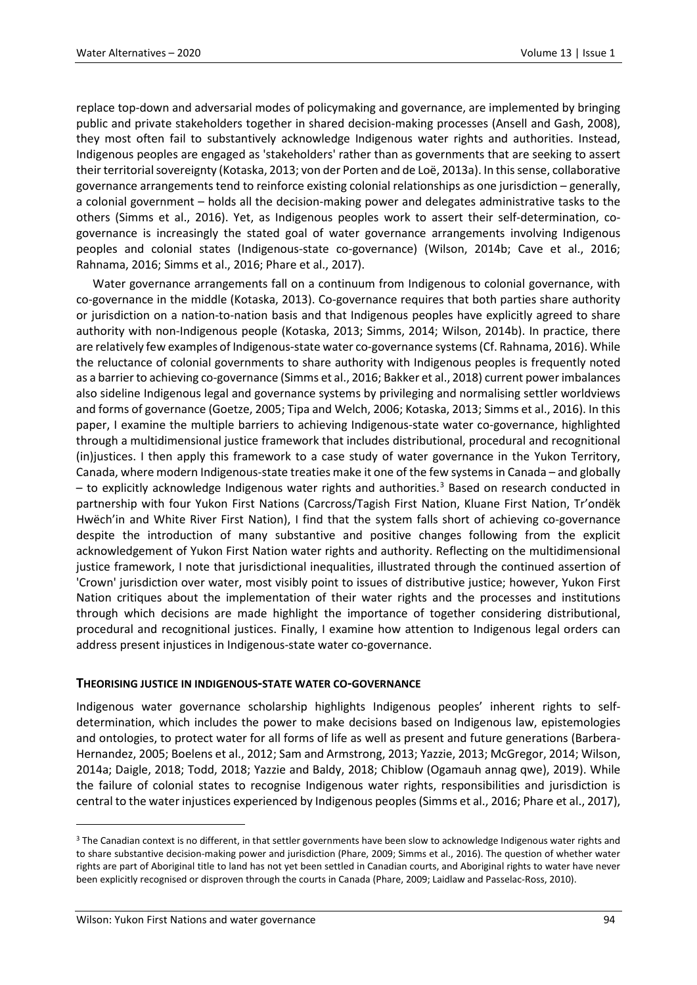replace top-down and adversarial modes of policymaking and governance, are implemented by bringing public and private stakeholders together in shared decision-making processes (Ansell and Gash, 2008), they most often fail to substantively acknowledge Indigenous water rights and authorities. Instead, Indigenous peoples are engaged as 'stakeholders' rather than as governments that are seeking to assert their territorial sovereignty (Kotaska, 2013; von der Porten and de Loë, 2013a). In this sense, collaborative governance arrangements tend to reinforce existing colonial relationships as one jurisdiction – generally, a colonial government – holds all the decision-making power and delegates administrative tasks to the others (Simms et al., 2016). Yet, as Indigenous peoples work to assert their self-determination, cogovernance is increasingly the stated goal of water governance arrangements involving Indigenous peoples and colonial states (Indigenous-state co-governance) (Wilson, 2014b; Cave et al., 2016; Rahnama, 2016; Simms et al., 2016; Phare et al., 2017).

Water governance arrangements fall on a continuum from Indigenous to colonial governance, with co-governance in the middle (Kotaska, 2013). Co-governance requires that both parties share authority or jurisdiction on a nation-to-nation basis and that Indigenous peoples have explicitly agreed to share authority with non-Indigenous people (Kotaska, 2013; Simms, 2014; Wilson, 2014b). In practice, there are relatively few examples of Indigenous-state water co-governance systems (Cf. Rahnama, 2016). While the reluctance of colonial governments to share authority with Indigenous peoples is frequently noted as a barrier to achieving co-governance (Simms et al., 2016; Bakker et al., 2018) current power imbalances also sideline Indigenous legal and governance systems by privileging and normalising settler worldviews and forms of governance (Goetze, 2005; Tipa and Welch, 2006; Kotaska, 2013; Simms et al., 2016). In this paper, I examine the multiple barriers to achieving Indigenous-state water co-governance, highlighted through a multidimensional justice framework that includes distributional, procedural and recognitional (in)justices. I then apply this framework to a case study of water governance in the Yukon Territory, Canada, where modern Indigenous-state treaties make it one of the few systems in Canada – and globally – to explicitly acknowledge Indigenous water rights and authorities.<sup>[3](#page-1-0)</sup> Based on research conducted in partnership with four Yukon First Nations (Carcross/Tagish First Nation, Kluane First Nation, Tr'ondëk Hwëch'in and White River First Nation), I find that the system falls short of achieving co-governance despite the introduction of many substantive and positive changes following from the explicit acknowledgement of Yukon First Nation water rights and authority. Reflecting on the multidimensional justice framework, I note that jurisdictional inequalities, illustrated through the continued assertion of 'Crown' jurisdiction over water, most visibly point to issues of distributive justice; however, Yukon First Nation critiques about the implementation of their water rights and the processes and institutions through which decisions are made highlight the importance of together considering distributional, procedural and recognitional justices. Finally, I examine how attention to Indigenous legal orders can address present injustices in Indigenous-state water co-governance.

### **THEORISING JUSTICE IN INDIGENOUS-STATE WATER CO-GOVERNANCE**

Indigenous water governance scholarship highlights Indigenous peoples' inherent rights to selfdetermination, which includes the power to make decisions based on Indigenous law, epistemologies and ontologies, to protect water for all forms of life as well as present and future generations (Barbera-Hernandez, 2005; Boelens et al., 2012; Sam and Armstrong, 2013; Yazzie, 2013; McGregor, 2014; Wilson, 2014a; Daigle, 2018; Todd, 2018; Yazzie and Baldy, 2018; Chiblow (Ogamauh annag qwe), 2019). While the failure of colonial states to recognise Indigenous water rights, responsibilities and jurisdiction is central to the water injustices experienced by Indigenous peoples (Simms et al., 2016; Phare et al., 2017),

<span id="page-1-0"></span><sup>&</sup>lt;sup>3</sup> The Canadian context is no different, in that settler governments have been slow to acknowledge Indigenous water rights and to share substantive decision-making power and jurisdiction (Phare, 2009; Simms et al., 2016). The question of whether water rights are part of Aboriginal title to land has not yet been settled in Canadian courts, and Aboriginal rights to water have never been explicitly recognised or disproven through the courts in Canada (Phare, 2009; Laidlaw and Passelac-Ross, 2010).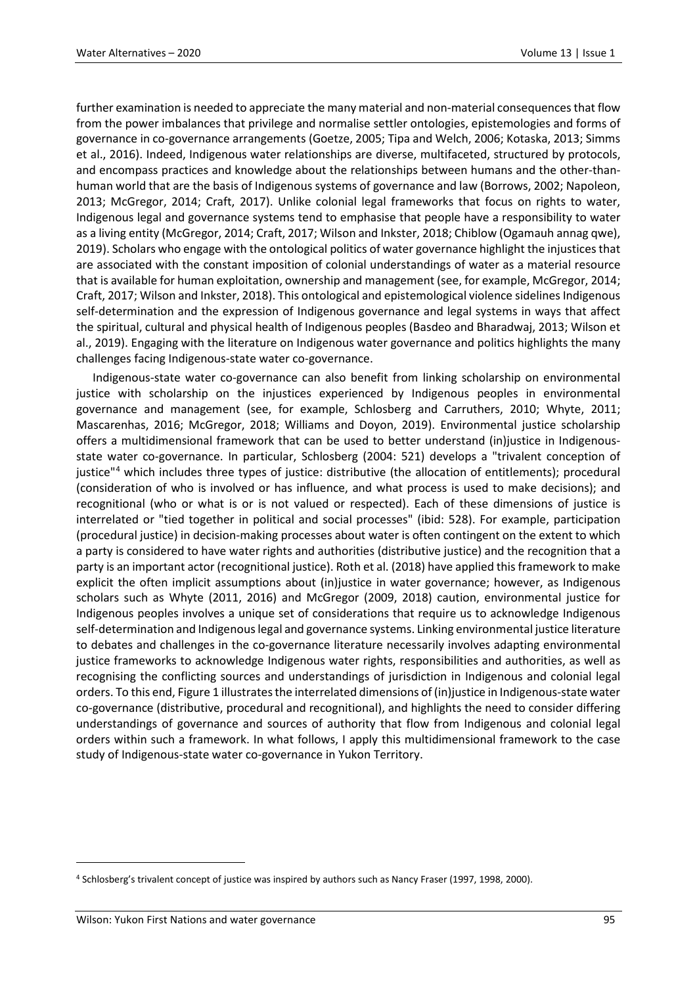further examination is needed to appreciate the many material and non-material consequences that flow from the power imbalances that privilege and normalise settler ontologies, epistemologies and forms of governance in co-governance arrangements (Goetze, 2005; Tipa and Welch, 2006; Kotaska, 2013; Simms et al., 2016). Indeed, Indigenous water relationships are diverse, multifaceted, structured by protocols, and encompass practices and knowledge about the relationships between humans and the other-thanhuman world that are the basis of Indigenous systems of governance and law (Borrows, 2002; Napoleon, 2013; McGregor, 2014; Craft, 2017). Unlike colonial legal frameworks that focus on rights to water, Indigenous legal and governance systems tend to emphasise that people have a responsibility to water as a living entity (McGregor, 2014; Craft, 2017; Wilson and Inkster, 2018; Chiblow (Ogamauh annag qwe), 2019). Scholars who engage with the ontological politics of water governance highlight the injustices that are associated with the constant imposition of colonial understandings of water as a material resource that is available for human exploitation, ownership and management (see, for example, McGregor, 2014; Craft, 2017; Wilson and Inkster, 2018). This ontological and epistemological violence sidelines Indigenous self-determination and the expression of Indigenous governance and legal systems in ways that affect the spiritual, cultural and physical health of Indigenous peoples (Basdeo and Bharadwaj, 2013; Wilson et al., 2019). Engaging with the literature on Indigenous water governance and politics highlights the many challenges facing Indigenous-state water co-governance.

Indigenous-state water co-governance can also benefit from linking scholarship on environmental justice with scholarship on the injustices experienced by Indigenous peoples in environmental governance and management (see, for example, Schlosberg and Carruthers, 2010; Whyte, 2011; Mascarenhas, 2016; McGregor, 2018; Williams and Doyon, 2019). Environmental justice scholarship offers a multidimensional framework that can be used to better understand (in)justice in Indigenousstate water co-governance. In particular, Schlosberg (2004: 521) develops a "trivalent conception of justice"[4](#page-2-0) which includes three types of justice: distributive (the allocation of entitlements); procedural (consideration of who is involved or has influence, and what process is used to make decisions); and recognitional (who or what is or is not valued or respected). Each of these dimensions of justice is interrelated or "tied together in political and social processes" (ibid: 528). For example, participation (procedural justice) in decision-making processes about water is often contingent on the extent to which a party is considered to have water rights and authorities (distributive justice) and the recognition that a party is an important actor (recognitional justice). Roth et al. (2018) have applied this framework to make explicit the often implicit assumptions about (in)justice in water governance; however, as Indigenous scholars such as Whyte (2011, 2016) and McGregor (2009, 2018) caution, environmental justice for Indigenous peoples involves a unique set of considerations that require us to acknowledge Indigenous self-determination and Indigenous legal and governance systems. Linking environmental justice literature to debates and challenges in the co-governance literature necessarily involves adapting environmental justice frameworks to acknowledge Indigenous water rights, responsibilities and authorities, as well as recognising the conflicting sources and understandings of jurisdiction in Indigenous and colonial legal orders. To this end, Figure 1 illustrates the interrelated dimensions of (in)justice in Indigenous-state water co-governance (distributive, procedural and recognitional), and highlights the need to consider differing understandings of governance and sources of authority that flow from Indigenous and colonial legal orders within such a framework. In what follows, I apply this multidimensional framework to the case study of Indigenous-state water co-governance in Yukon Territory.

<span id="page-2-0"></span><sup>4</sup> Schlosberg's trivalent concept of justice was inspired by authors such as Nancy Fraser (1997, 1998, 2000).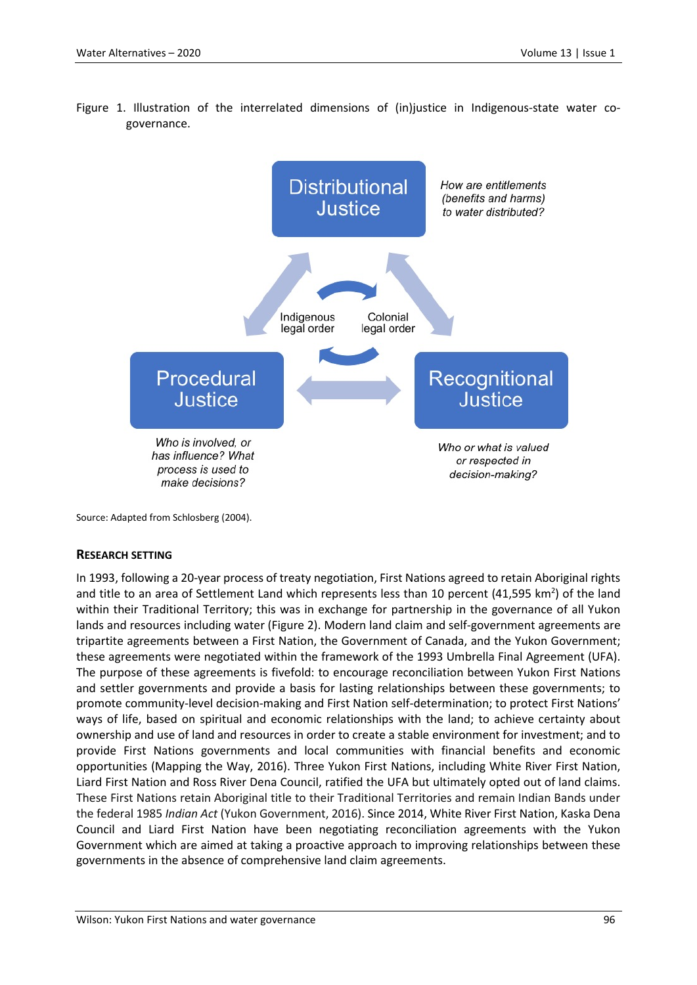

Figure 1. Illustration of the interrelated dimensions of (in)justice in Indigenous-state water cogovernance.

Source: Adapted from Schlosberg (2004).

### **RESEARCH SETTING**

In 1993, following a 20-year process of treaty negotiation, First Nations agreed to retain Aboriginal rights and title to an area of Settlement Land which represents less than 10 percent (41,595  $km^2$ ) of the land within their Traditional Territory; this was in exchange for partnership in the governance of all Yukon lands and resources including water (Figure 2). Modern land claim and self-government agreements are tripartite agreements between a First Nation, the Government of Canada, and the Yukon Government; these agreements were negotiated within the framework of the 1993 Umbrella Final Agreement (UFA). The purpose of these agreements is fivefold: to encourage reconciliation between Yukon First Nations and settler governments and provide a basis for lasting relationships between these governments; to promote community-level decision-making and First Nation self-determination; to protect First Nations' ways of life, based on spiritual and economic relationships with the land; to achieve certainty about ownership and use of land and resources in order to create a stable environment for investment; and to provide First Nations governments and local communities with financial benefits and economic opportunities (Mapping the Way, 2016). Three Yukon First Nations, including White River First Nation, Liard First Nation and Ross River Dena Council, ratified the UFA but ultimately opted out of land claims. These First Nations retain Aboriginal title to their Traditional Territories and remain Indian Bands under the federal 1985 *[Indian Act](http://www.canlii.org/ca/sta/i-5/whole.html)* (Yukon Government, 2016). Since 2014, White River First Nation, Kaska Dena Council and Liard First Nation have been negotiating reconciliation agreements with the Yukon Government which are aimed at taking a proactive approach to improving relationships between these governments in the absence of comprehensive land claim agreements.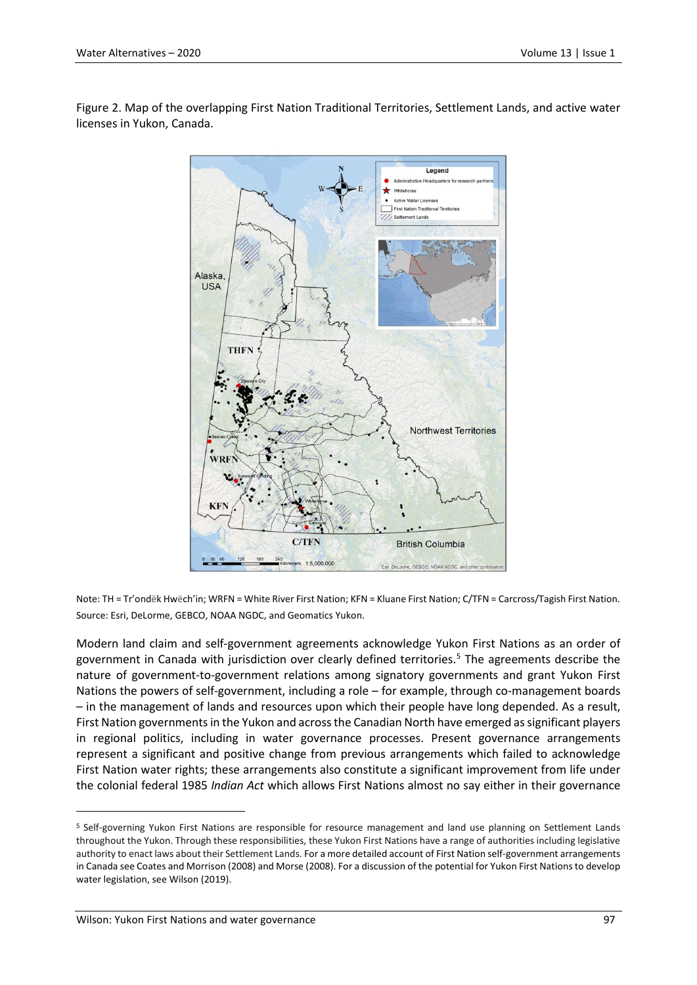Figure 2. Map of the overlapping First Nation Traditional Territories, Settlement Lands, and active water licenses in Yukon, Canada.



Note: TH = Tr'ondëk Hwëch'in; WRFN = White River First Nation; KFN = Kluane First Nation; C/TFN = Carcross/Tagish First Nation. Source: Esri, DeLorme, GEBCO, NOAA NGDC, and Geomatics Yukon.

Modern land claim and self-government agreements acknowledge Yukon First Nations as an order of government in Canada with jurisdiction over clearly defined territories.<sup>[5](#page-4-0)</sup> The agreements describe the nature of government-to-government relations among signatory governments and grant Yukon First Nations the powers of self-government, including a role – for example, through co-management boards – in the management of lands and resources upon which their people have long depended. As a result, First Nation governments in the Yukon and across the Canadian North have emerged as significant players in regional politics, including in water governance processes. Present governance arrangements represent a significant and positive change from previous arrangements which failed to acknowledge First Nation water rights; these arrangements also constitute a significant improvement from life under the colonial federal 1985 *Indian Act* which allows First Nations almost no say either in their governance

<span id="page-4-0"></span><sup>5</sup> Self-governing Yukon First Nations are responsible for resource management and land use planning on Settlement Lands throughout the Yukon. Through these responsibilities, these Yukon First Nations have a range of authorities including legislative authority to enact laws about their Settlement Lands. For a more detailed account of First Nation self-government arrangements in Canada see Coates and Morrison (2008) and Morse (2008). For a discussion of the potential for Yukon First Nations to develop water legislation, see Wilson (2019).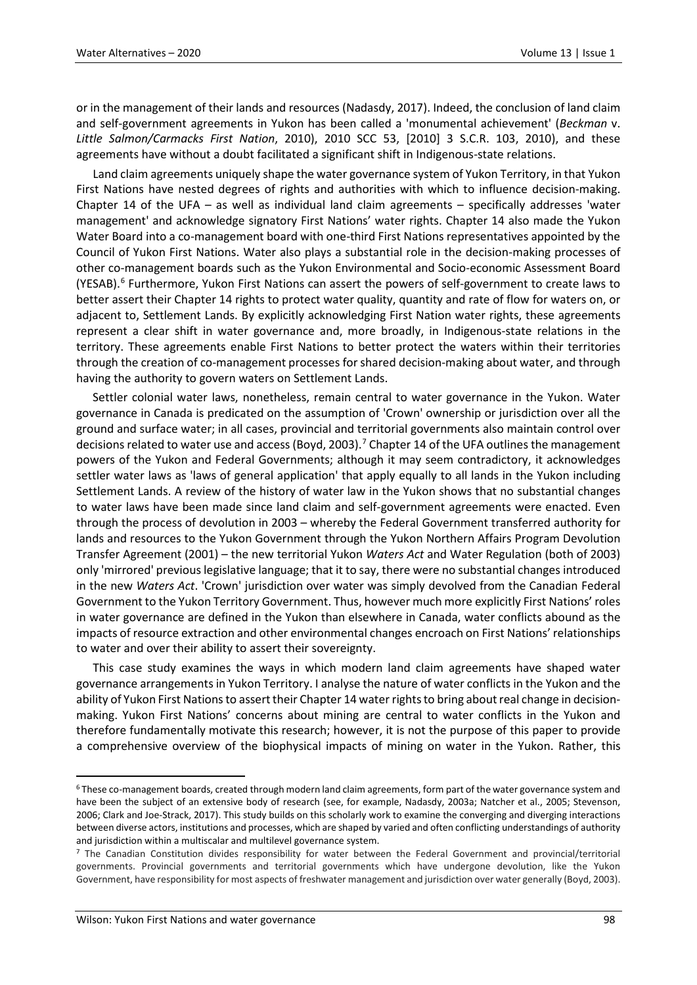or in the management of their lands and resources (Nadasdy, 2017). Indeed, the conclusion of land claim and self-government agreements in Yukon has been called a 'monumental achievement' (*Beckman* v. *Little Salmon/Carmacks First Nation*, 2010), 2010 SCC 53, [2010] 3 S.C.R. 103, 2010), and these agreements have without a doubt facilitated a significant shift in Indigenous-state relations.

Land claim agreements uniquely shape the water governance system of Yukon Territory, in that Yukon First Nations have nested degrees of rights and authorities with which to influence decision-making. Chapter 14 of the UFA – as well as individual land claim agreements – specifically addresses 'water management' and acknowledge signatory First Nations' water rights. Chapter 14 also made the Yukon Water Board into a co-management board with one-third First Nations representatives appointed by the Council of Yukon First Nations. Water also plays a substantial role in the decision-making processes of other co-management boards such as the Yukon Environmental and Socio-economic Assessment Board (YESAB).<sup>[6](#page-5-0)</sup> Furthermore, Yukon First Nations can assert the powers of self-government to create laws to better assert their Chapter 14 rights to protect water quality, quantity and rate of flow for waters on, or adjacent to, Settlement Lands. By explicitly acknowledging First Nation water rights, these agreements represent a clear shift in water governance and, more broadly, in Indigenous-state relations in the territory. These agreements enable First Nations to better protect the waters within their territories through the creation of co-management processes for shared decision-making about water, and through having the authority to govern waters on Settlement Lands.

Settler colonial water laws, nonetheless, remain central to water governance in the Yukon. Water governance in Canada is predicated on the assumption of 'Crown' ownership or jurisdiction over all the ground and surface water; in all cases, provincial and territorial governments also maintain control over decisions related to water use and access (Boyd, 2003).<sup>[7](#page-5-1)</sup> Chapter 14 of the UFA outlines the management powers of the Yukon and Federal Governments; although it may seem contradictory, it acknowledges settler water laws as 'laws of general application' that apply equally to all lands in the Yukon including Settlement Lands. A review of the history of water law in the Yukon shows that no substantial changes to water laws have been made since land claim and self-government agreements were enacted. Even through the process of devolution in 2003 – whereby the Federal Government transferred authority for lands and resources to the Yukon Government through the Yukon Northern Affairs Program Devolution Transfer Agreement (2001) – the new territorial Yukon *Waters Act* and Water Regulation (both of 2003) only 'mirrored' previous legislative language; that it to say, there were no substantial changes introduced in the new *Waters Act*. 'Crown' jurisdiction over water was simply devolved from the Canadian Federal Government to the Yukon Territory Government. Thus, however much more explicitly First Nations' roles in water governance are defined in the Yukon than elsewhere in Canada, water conflicts abound as the impacts of resource extraction and other environmental changes encroach on First Nations' relationships to water and over their ability to assert their sovereignty.

This case study examines the ways in which modern land claim agreements have shaped water governance arrangements in Yukon Territory. I analyse the nature of water conflicts in the Yukon and the ability of Yukon First Nations to assert their Chapter 14 water rights to bring about real change in decisionmaking. Yukon First Nations' concerns about mining are central to water conflicts in the Yukon and therefore fundamentally motivate this research; however, it is not the purpose of this paper to provide a comprehensive overview of the biophysical impacts of mining on water in the Yukon. Rather, this

<span id="page-5-0"></span> <sup>6</sup> These co-management boards, created through modern land claim agreements, form part of the water governance system and have been the subject of an extensive body of research (see, for example, Nadasdy, 2003a; Natcher et al., 2005; Stevenson, 2006; Clark and Joe-Strack, 2017). This study builds on this scholarly work to examine the converging and diverging interactions between diverse actors, institutions and processes, which are shaped by varied and often conflicting understandings of authority and jurisdiction within a multiscalar and multilevel governance system.

<span id="page-5-1"></span><sup>&</sup>lt;sup>7</sup> The Canadian Constitution divides responsibility for water between the Federal Government and provincial/territorial governments. Provincial governments and territorial governments which have undergone devolution, like the Yukon Government, have responsibility for most aspects of freshwater management and jurisdiction over water generally (Boyd, 2003).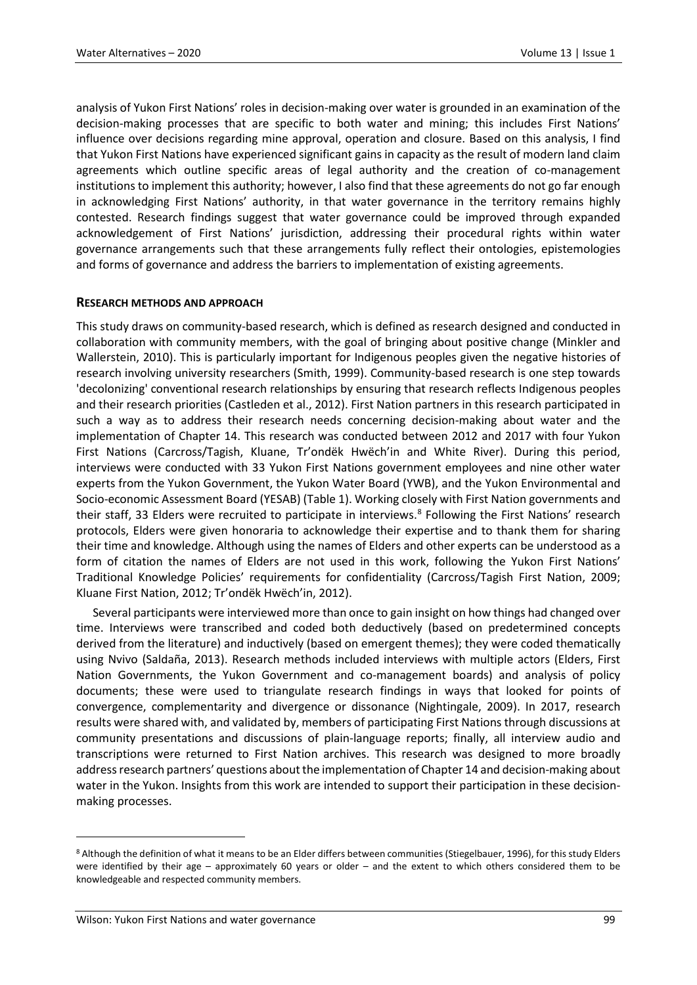analysis of Yukon First Nations' roles in decision-making over water is grounded in an examination of the decision-making processes that are specific to both water and mining; this includes First Nations' influence over decisions regarding mine approval, operation and closure. Based on this analysis, I find that Yukon First Nations have experienced significant gains in capacity as the result of modern land claim agreements which outline specific areas of legal authority and the creation of co-management institutions to implement this authority; however, I also find that these agreements do not go far enough in acknowledging First Nations' authority, in that water governance in the territory remains highly contested. Research findings suggest that water governance could be improved through expanded acknowledgement of First Nations' jurisdiction, addressing their procedural rights within water governance arrangements such that these arrangements fully reflect their ontologies, epistemologies and forms of governance and address the barriers to implementation of existing agreements.

### **RESEARCH METHODS AND APPROACH**

This study draws on community-based research, which is defined as research designed and conducted in collaboration with community members, with the goal of bringing about positive change (Minkler and Wallerstein, 2010). This is particularly important for Indigenous peoples given the negative histories of research involving university researchers (Smith, 1999). Community-based research is one step towards 'decolonizing' conventional research relationships by ensuring that research reflects Indigenous peoples and their research priorities (Castleden et al., 2012). First Nation partners in this research participated in such a way as to address their research needs concerning decision-making about water and the implementation of Chapter 14. This research was conducted between 2012 and 2017 with four Yukon First Nations (Carcross/Tagish, Kluane, Tr'ondëk Hwëch'in and White River). During this period, interviews were conducted with 33 Yukon First Nations government employees and nine other water experts from the Yukon Government, the Yukon Water Board (YWB), and the Yukon Environmental and Socio-economic Assessment Board (YESAB) (Table 1). Working closely with First Nation governments and their staff, 33 Elders were recruited to participate in interviews.<sup>[8](#page-6-0)</sup> Following the First Nations' research protocols, Elders were given honoraria to acknowledge their expertise and to thank them for sharing their time and knowledge. Although using the names of Elders and other experts can be understood as a form of citation the names of Elders are not used in this work, following the Yukon First Nations' Traditional Knowledge Policies' requirements for confidentiality (Carcross/Tagish First Nation, 2009; Kluane First Nation, 2012; Tr'ondëk Hwëch'in, 2012).

Several participants were interviewed more than once to gain insight on how things had changed over time. Interviews were transcribed and coded both deductively (based on predetermined concepts derived from the literature) and inductively (based on emergent themes); they were coded thematically using Nvivo (Saldaña, 2013). Research methods included interviews with multiple actors (Elders, First Nation Governments, the Yukon Government and co-management boards) and analysis of policy documents; these were used to triangulate research findings in ways that looked for points of convergence, complementarity and divergence or dissonance (Nightingale, 2009). In 2017, research results were shared with, and validated by, members of participating First Nations through discussions at community presentations and discussions of plain-language reports; finally, all interview audio and transcriptions were returned to First Nation archives. This research was designed to more broadly address research partners' questions about the implementation of Chapter 14 and decision-making about water in the Yukon. Insights from this work are intended to support their participation in these decisionmaking processes.

<span id="page-6-0"></span><sup>8</sup> Although the definition of what it means to be an Elder differs between communities (Stiegelbauer, 1996), for this study Elders were identified by their age – approximately 60 years or older – and the extent to which others considered them to be knowledgeable and respected community members.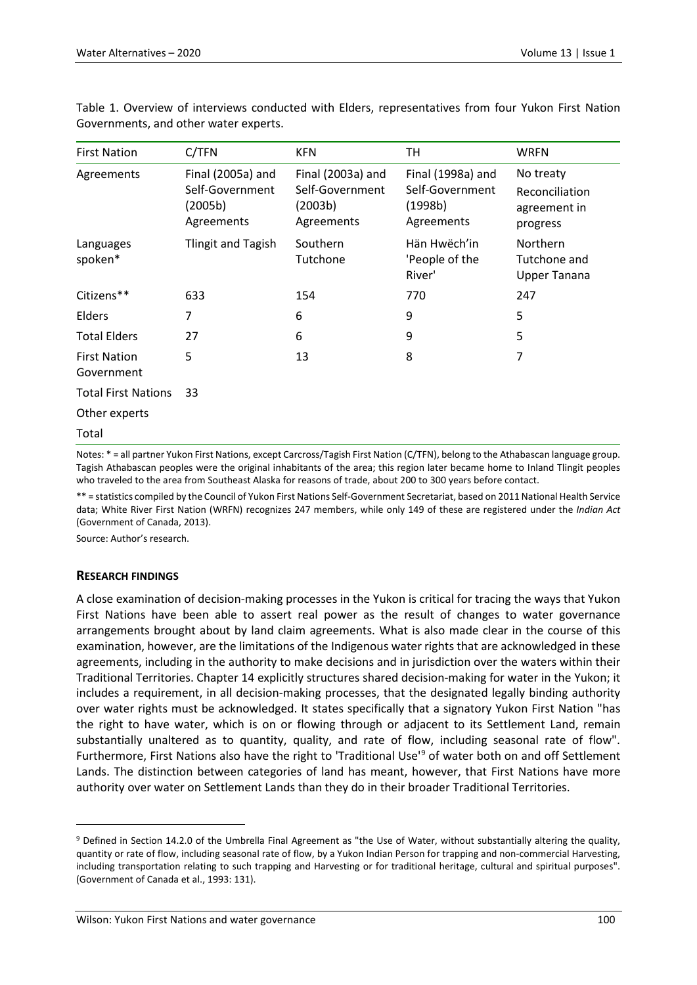| <b>First Nation</b>               | C/TFN                                                         | <b>KFN</b>                                                    | TН                                                            | <b>WRFN</b>                                             |
|-----------------------------------|---------------------------------------------------------------|---------------------------------------------------------------|---------------------------------------------------------------|---------------------------------------------------------|
| Agreements                        | Final (2005a) and<br>Self-Government<br>(2005b)<br>Agreements | Final (2003a) and<br>Self-Government<br>(2003b)<br>Agreements | Final (1998a) and<br>Self-Government<br>(1998b)<br>Agreements | No treaty<br>Reconciliation<br>agreement in<br>progress |
| Languages<br>spoken*              | Tlingit and Tagish                                            | Southern<br>Tutchone                                          | Hän Hwëch'in<br>'People of the<br>River'                      | Northern<br>Tutchone and<br><b>Upper Tanana</b>         |
| Citizens**                        | 633                                                           | 154                                                           | 770                                                           | 247                                                     |
| Elders                            | 7                                                             | 6                                                             | 9                                                             | 5                                                       |
| <b>Total Elders</b>               | 27                                                            | 6                                                             | 9                                                             | 5                                                       |
| <b>First Nation</b><br>Government | 5                                                             | 13                                                            | 8                                                             | 7                                                       |
| <b>Total First Nations</b>        | 33                                                            |                                                               |                                                               |                                                         |
| Other experts                     |                                                               |                                                               |                                                               |                                                         |
| Total                             |                                                               |                                                               |                                                               |                                                         |

Table 1. Overview of interviews conducted with Elders, representatives from four Yukon First Nation Governments, and other water experts.

Notes: \* = all partner Yukon First Nations, except Carcross/Tagish First Nation (C/TFN), belong to the Athabascan language group. Tagish Athabascan peoples were the original inhabitants of the area; this region later became home to Inland Tlingit peoples who traveled to the area from Southeast Alaska for reasons of trade, about 200 to 300 years before contact.

\*\* = statistics compiled by the Council of Yukon First Nations Self-Government Secretariat, based on 2011 National Health Service data; White River First Nation (WRFN) recognizes 247 members, while only 149 of these are registered under the *Indian Act* (Government of Canada, 2013).

Source: Author's research.

### **RESEARCH FINDINGS**

 $\overline{a}$ 

A close examination of decision-making processes in the Yukon is critical for tracing the ways that Yukon First Nations have been able to assert real power as the result of changes to water governance arrangements brought about by land claim agreements. What is also made clear in the course of this examination, however, are the limitations of the Indigenous water rights that are acknowledged in these agreements, including in the authority to make decisions and in jurisdiction over the waters within their Traditional Territories. Chapter 14 explicitly structures shared decision-making for water in the Yukon; it includes a requirement, in all decision-making processes, that the designated legally binding authority over water rights must be acknowledged. It states specifically that a signatory Yukon First Nation "has the right to have water, which is on or flowing through or adjacent to its Settlement Land, remain substantially unaltered as to quantity, quality, and rate of flow, including seasonal rate of flow". Furthermore, First Nations also have the right to 'Traditional Use'[9](#page-7-0) of water both on and off Settlement Lands. The distinction between categories of land has meant, however, that First Nations have more authority over water on Settlement Lands than they do in their broader Traditional Territories.

<span id="page-7-0"></span><sup>9</sup> Defined in Section 14.2.0 of the Umbrella Final Agreement as "the Use of Water, without substantially altering the quality, quantity or rate of flow, including seasonal rate of flow, by a Yukon Indian Person for trapping and non-commercial Harvesting, including transportation relating to such trapping and Harvesting or for traditional heritage, cultural and spiritual purposes". (Government of Canada et al., 1993: 131).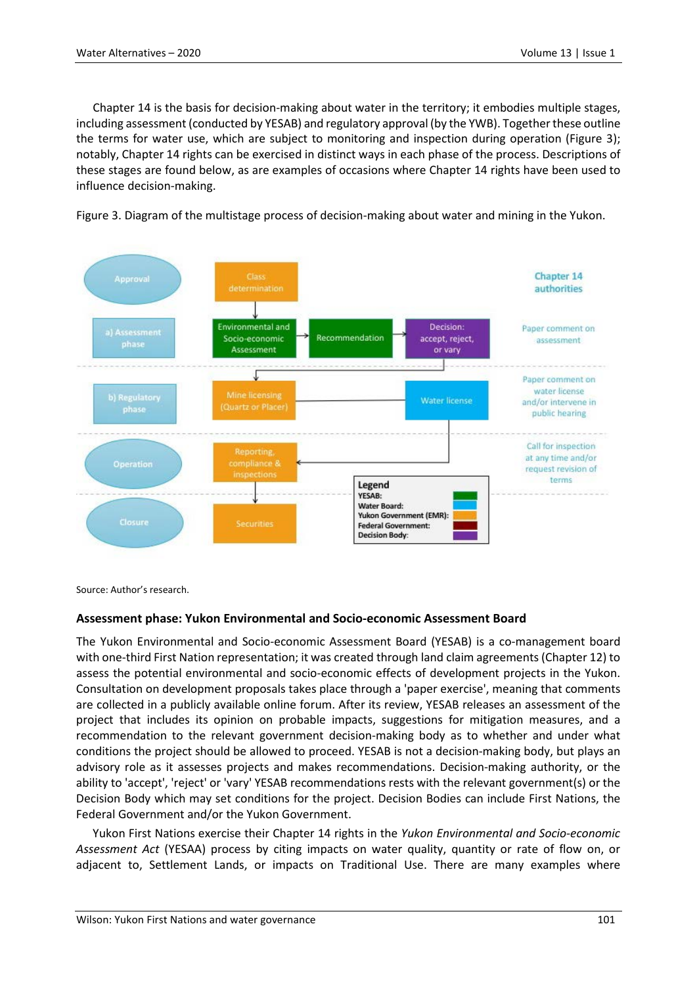Chapter 14 is the basis for decision-making about water in the territory; it embodies multiple stages, including assessment (conducted by YESAB) and regulatory approval (by the YWB). Together these outline the terms for water use, which are subject to monitoring and inspection during operation (Figure 3); notably, Chapter 14 rights can be exercised in distinct ways in each phase of the process. Descriptions of these stages are found below, as are examples of occasions where Chapter 14 rights have been used to influence decision-making.





Source: Author's research.

## **Assessment phase: Yukon Environmental and Socio-economic Assessment Board**

The Yukon Environmental and Socio-economic Assessment Board (YESAB) is a co-management board with one-third First Nation representation; it was created through land claim agreements (Chapter 12) to assess the potential environmental and socio-economic effects of development projects in the Yukon. Consultation on development proposals takes place through a 'paper exercise', meaning that comments are collected in a publicly available online forum. After its review, YESAB releases an assessment of the project that includes its opinion on probable impacts, suggestions for mitigation measures, and a recommendation to the relevant government decision-making body as to whether and under what conditions the project should be allowed to proceed. YESAB is not a decision-making body, but plays an advisory role as it assesses projects and makes recommendations. Decision-making authority, or the ability to 'accept', 'reject' or 'vary' YESAB recommendations rests with the relevant government(s) or the Decision Body which may set conditions for the project. Decision Bodies can include First Nations, the Federal Government and/or the Yukon Government.

Yukon First Nations exercise their Chapter 14 rights in the *Yukon Environmental and Socio-economic Assessment Act* (YESAA) process by citing impacts on water quality, quantity or rate of flow on, or adjacent to, Settlement Lands, or impacts on Traditional Use. There are many examples where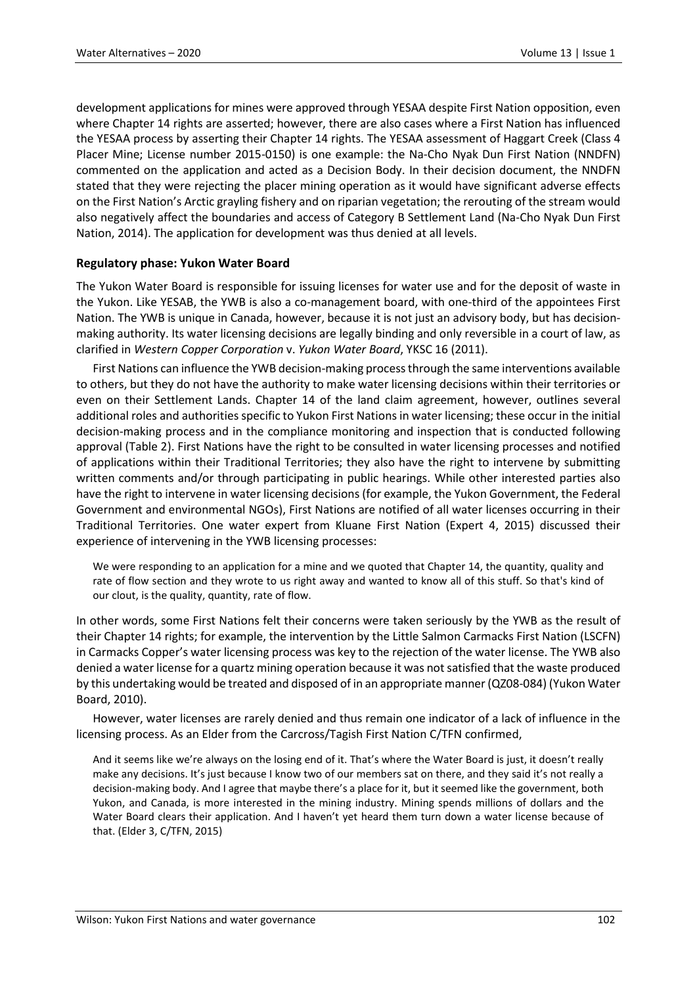development applications for mines were approved through YESAA despite First Nation opposition, even where Chapter 14 rights are asserted; however, there are also cases where a First Nation has influenced the YESAA process by asserting their Chapter 14 rights. The YESAA assessment of Haggart Creek (Class 4 Placer Mine; License number 2015-0150) is one example: the Na-Cho Nyak Dun First Nation (NNDFN) commented on the application and acted as a Decision Body. In their decision document, the NNDFN stated that they were rejecting the placer mining operation as it would have significant adverse effects on the First Nation's Arctic grayling fishery and on riparian vegetation; the rerouting of the stream would also negatively affect the boundaries and access of Category B Settlement Land (Na-Cho Nyak Dun First Nation, 2014). The application for development was thus denied at all levels.

### **Regulatory phase: Yukon Water Board**

The Yukon Water Board is responsible for issuing licenses for water use and for the deposit of waste in the Yukon. Like YESAB, the YWB is also a co-management board, with one-third of the appointees First Nation. The YWB is unique in Canada, however, because it is not just an advisory body, but has decisionmaking authority. Its water licensing decisions are legally binding and only reversible in a court of law, as clarified in *Western Copper Corporation* v. *Yukon Water Board*, YKSC 16 (2011).

First Nations can influence the YWB decision-making process through the same interventions available to others, but they do not have the authority to make water licensing decisions within their territories or even on their Settlement Lands. Chapter 14 of the land claim agreement, however, outlines several additional roles and authorities specific to Yukon First Nations in water licensing; these occur in the initial decision-making process and in the compliance monitoring and inspection that is conducted following approval (Table 2). First Nations have the right to be consulted in water licensing processes and notified of applications within their Traditional Territories; they also have the right to intervene by submitting written comments and/or through participating in public hearings. While other interested parties also have the right to intervene in water licensing decisions (for example, the Yukon Government, the Federal Government and environmental NGOs), First Nations are notified of all water licenses occurring in their Traditional Territories. One water expert from Kluane First Nation (Expert 4, 2015) discussed their experience of intervening in the YWB licensing processes:

We were responding to an application for a mine and we quoted that Chapter 14, the quantity, quality and rate of flow section and they wrote to us right away and wanted to know all of this stuff. So that's kind of our clout, is the quality, quantity, rate of flow.

In other words, some First Nations felt their concerns were taken seriously by the YWB as the result of their Chapter 14 rights; for example, the intervention by the Little Salmon Carmacks First Nation (LSCFN) in Carmacks Copper's water licensing process was key to the rejection of the water license. The YWB also denied a water license for a quartz mining operation because it was not satisfied that the waste produced by this undertaking would be treated and disposed of in an appropriate manner (QZ08-084) (Yukon Water Board, 2010).

However, water licenses are rarely denied and thus remain one indicator of a lack of influence in the licensing process. As an Elder from the Carcross/Tagish First Nation C/TFN confirmed,

And it seems like we're always on the losing end of it. That's where the Water Board is just, it doesn't really make any decisions. It's just because I know two of our members sat on there, and they said it's not really a decision-making body. And I agree that maybe there's a place for it, but it seemed like the government, both Yukon, and Canada, is more interested in the mining industry. Mining spends millions of dollars and the Water Board clears their application. And I haven't yet heard them turn down a water license because of that. (Elder 3, C/TFN, 2015)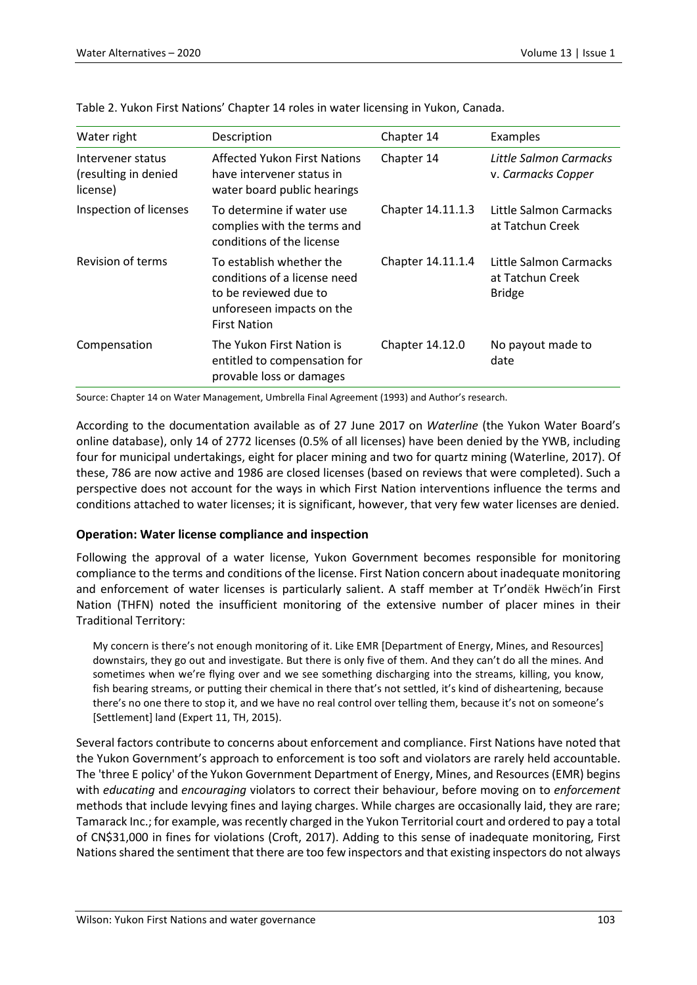| Water right                                           | Description                                                                                                                           | Chapter 14        | Examples                                                    |
|-------------------------------------------------------|---------------------------------------------------------------------------------------------------------------------------------------|-------------------|-------------------------------------------------------------|
| Intervener status<br>(resulting in denied<br>license) | <b>Affected Yukon First Nations</b><br>have intervener status in<br>water board public hearings                                       | Chapter 14        | Little Salmon Carmacks<br>v. Carmacks Copper                |
| Inspection of licenses                                | To determine if water use<br>complies with the terms and<br>conditions of the license                                                 | Chapter 14.11.1.3 | Little Salmon Carmacks<br>at Tatchun Creek                  |
| Revision of terms                                     | To establish whether the<br>conditions of a license need<br>to be reviewed due to<br>unforeseen impacts on the<br><b>First Nation</b> | Chapter 14.11.1.4 | Little Salmon Carmacks<br>at Tatchun Creek<br><b>Bridge</b> |
| Compensation                                          | The Yukon First Nation is<br>entitled to compensation for<br>provable loss or damages                                                 | Chapter 14.12.0   | No payout made to<br>date                                   |

Table 2. Yukon First Nations' Chapter 14 roles in water licensing in Yukon, Canada.

Source: Chapter 14 on Water Management, Umbrella Final Agreement (1993) and Author's research.

According to the documentation available as of 27 June 2017 on *Waterline* (the Yukon Water Board's online database), only 14 of 2772 licenses (0.5% of all licenses) have been denied by the YWB, including four for municipal undertakings, eight for placer mining and two for quartz mining (Waterline, 2017). Of these, 786 are now active and 1986 are closed licenses (based on reviews that were completed). Such a perspective does not account for the ways in which First Nation interventions influence the terms and conditions attached to water licenses; it is significant, however, that very few water licenses are denied.

### **Operation: Water license compliance and inspection**

Following the approval of a water license, Yukon Government becomes responsible for monitoring compliance to the terms and conditions of the license. First Nation concern about inadequate monitoring and enforcement of water licenses is particularly salient. A staff member at Tr'ondëk Hwëch'in First Nation (THFN) noted the insufficient monitoring of the extensive number of placer mines in their Traditional Territory:

My concern is there's not enough monitoring of it. Like EMR [Department of Energy, Mines, and Resources] downstairs, they go out and investigate. But there is only five of them. And they can't do all the mines. And sometimes when we're flying over and we see something discharging into the streams, killing, you know, fish bearing streams, or putting their chemical in there that's not settled, it's kind of disheartening, because there's no one there to stop it, and we have no real control over telling them, because it's not on someone's [Settlement] land (Expert 11, TH, 2015).

Several factors contribute to concerns about enforcement and compliance. First Nations have noted that the Yukon Government's approach to enforcement is too soft and violators are rarely held accountable. The 'three E policy' of the Yukon Government Department of Energy, Mines, and Resources (EMR) begins with *educating* and *encouraging* violators to correct their behaviour, before moving on to *enforcement* methods that include levying fines and laying charges. While charges are occasionally laid, they are rare; Tamarack Inc.; for example, was recently charged in the Yukon Territorial court and ordered to pay a total of CN\$31,000 in fines for violations (Croft, 2017). Adding to this sense of inadequate monitoring, First Nations shared the sentiment that there are too few inspectors and that existing inspectors do not always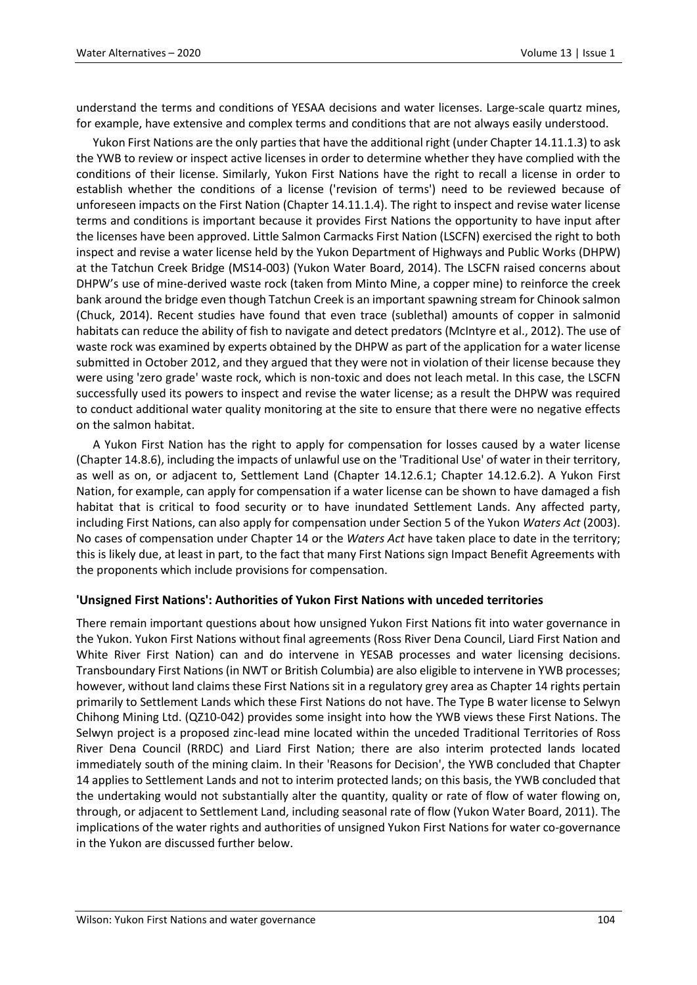understand the terms and conditions of YESAA decisions and water licenses. Large-scale quartz mines, for example, have extensive and complex terms and conditions that are not always easily understood.

Yukon First Nations are the only parties that have the additional right (under Chapter 14.11.1.3) to ask the YWB to review or inspect active licenses in order to determine whether they have complied with the conditions of their license. Similarly, Yukon First Nations have the right to recall a license in order to establish whether the conditions of a license ('revision of terms') need to be reviewed because of unforeseen impacts on the First Nation (Chapter 14.11.1.4). The right to inspect and revise water license terms and conditions is important because it provides First Nations the opportunity to have input after the licenses have been approved. Little Salmon Carmacks First Nation (LSCFN) exercised the right to both inspect and revise a water license held by the Yukon Department of Highways and Public Works (DHPW) at the Tatchun Creek Bridge (MS14-003) (Yukon Water Board, 2014). The LSCFN raised concerns about DHPW's use of mine-derived waste rock (taken from Minto Mine, a copper mine) to reinforce the creek bank around the bridge even though Tatchun Creek is an important spawning stream for Chinook salmon (Chuck, 2014). Recent studies have found that even trace (sublethal) amounts of copper in salmonid habitats can reduce the ability of fish to navigate and detect predators (McIntyre et al., 2012). The use of waste rock was examined by experts obtained by the DHPW as part of the application for a water license submitted in October 2012, and they argued that they were not in violation of their license because they were using 'zero grade' waste rock, which is non-toxic and does not leach metal. In this case, the LSCFN successfully used its powers to inspect and revise the water license; as a result the DHPW was required to conduct additional water quality monitoring at the site to ensure that there were no negative effects on the salmon habitat.

A Yukon First Nation has the right to apply for compensation for losses caused by a water license (Chapter 14.8.6), including the impacts of unlawful use on the 'Traditional Use' of water in their territory, as well as on, or adjacent to, Settlement Land (Chapter 14.12.6.1; Chapter 14.12.6.2). A Yukon First Nation, for example, can apply for compensation if a water license can be shown to have damaged a fish habitat that is critical to food security or to have inundated Settlement Lands. Any affected party, including First Nations, can also apply for compensation under Section 5 of the Yukon *Waters Act* (2003). No cases of compensation under Chapter 14 or the *Waters Act* have taken place to date in the territory; this is likely due, at least in part, to the fact that many First Nations sign Impact Benefit Agreements with the proponents which include provisions for compensation.

### **'Unsigned First Nations': Authorities of Yukon First Nations with unceded territories**

There remain important questions about how unsigned Yukon First Nations fit into water governance in the Yukon. Yukon First Nations without final agreements (Ross River Dena Council, Liard First Nation and White River First Nation) can and do intervene in YESAB processes and water licensing decisions. Transboundary First Nations (in NWT or British Columbia) are also eligible to intervene in YWB processes; however, without land claims these First Nations sit in a regulatory grey area as Chapter 14 rights pertain primarily to Settlement Lands which these First Nations do not have. The Type B water license to Selwyn Chihong Mining Ltd. (QZ10-042) provides some insight into how the YWB views these First Nations. The Selwyn project is a proposed zinc-lead mine located within the unceded Traditional Territories of Ross River Dena Council (RRDC) and Liard First Nation; there are also interim protected lands located immediately south of the mining claim. In their 'Reasons for Decision', the YWB concluded that Chapter 14 applies to Settlement Lands and not to interim protected lands; on this basis, the YWB concluded that the undertaking would not substantially alter the quantity, quality or rate of flow of water flowing on, through, or adjacent to Settlement Land, including seasonal rate of flow (Yukon Water Board, 2011). The implications of the water rights and authorities of unsigned Yukon First Nations for water co-governance in the Yukon are discussed further below.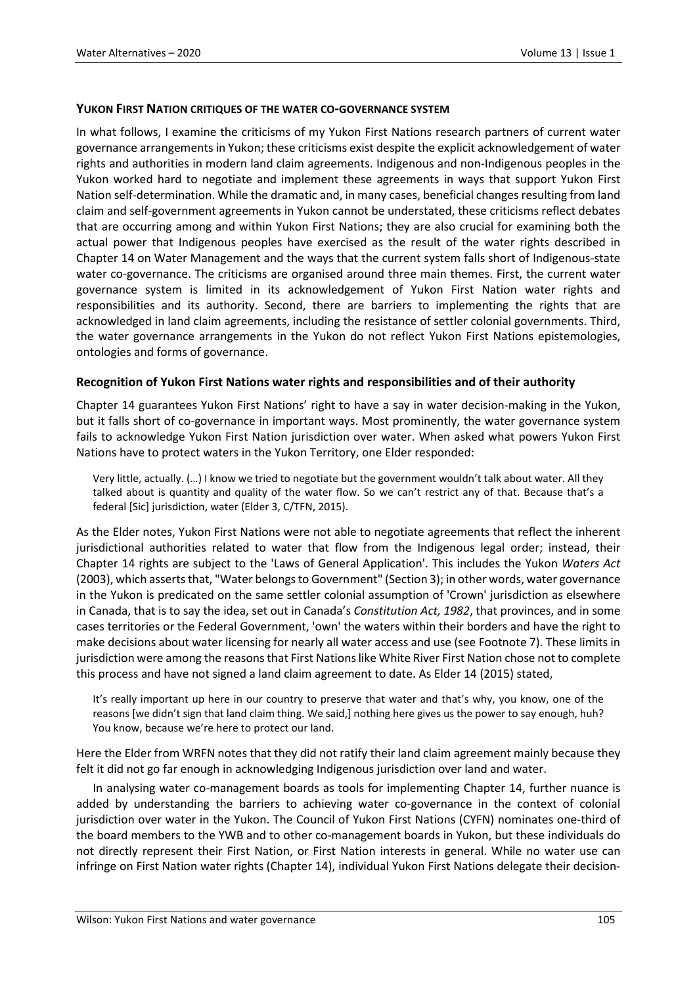#### **YUKON FIRST NATION CRITIQUES OF THE WATER CO-GOVERNANCE SYSTEM**

In what follows, I examine the criticisms of my Yukon First Nations research partners of current water governance arrangements in Yukon; these criticisms exist despite the explicit acknowledgement of water rights and authorities in modern land claim agreements. Indigenous and non-Indigenous peoples in the Yukon worked hard to negotiate and implement these agreements in ways that support Yukon First Nation self-determination. While the dramatic and, in many cases, beneficial changes resulting from land claim and self-government agreements in Yukon cannot be understated, these criticisms reflect debates that are occurring among and within Yukon First Nations; they are also crucial for examining both the actual power that Indigenous peoples have exercised as the result of the water rights described in Chapter 14 on Water Management and the ways that the current system falls short of Indigenous-state water co-governance. The criticisms are organised around three main themes. First, the current water governance system is limited in its acknowledgement of Yukon First Nation water rights and responsibilities and its authority. Second, there are barriers to implementing the rights that are acknowledged in land claim agreements, including the resistance of settler colonial governments. Third, the water governance arrangements in the Yukon do not reflect Yukon First Nations epistemologies, ontologies and forms of governance.

### **Recognition of Yukon First Nations water rights and responsibilities and of their authority**

Chapter 14 guarantees Yukon First Nations' right to have a say in water decision-making in the Yukon, but it falls short of co-governance in important ways. Most prominently, the water governance system fails to acknowledge Yukon First Nation jurisdiction over water. When asked what powers Yukon First Nations have to protect waters in the Yukon Territory, one Elder responded:

Very little, actually. (…) I know we tried to negotiate but the government wouldn't talk about water. All they talked about is quantity and quality of the water flow. So we can't restrict any of that. Because that's a federal [Sic] jurisdiction, water (Elder 3, C/TFN, 2015).

As the Elder notes, Yukon First Nations were not able to negotiate agreements that reflect the inherent jurisdictional authorities related to water that flow from the Indigenous legal order; instead, their Chapter 14 rights are subject to the 'Laws of General Application'. This includes the Yukon *Waters Act* (2003), which asserts that, "Water belongs to Government" (Section 3); in other words, water governance in the Yukon is predicated on the same settler colonial assumption of 'Crown' jurisdiction as elsewhere in Canada, that is to say the idea, set out in Canada's *Constitution Act, 1982*, that provinces, and in some cases territories or the Federal Government, 'own' the waters within their borders and have the right to make decisions about water licensing for nearly all water access and use (see Footnote 7). These limits in jurisdiction were among the reasons that First Nations like White River First Nation chose not to complete this process and have not signed a land claim agreement to date. As Elder 14 (2015) stated,

It's really important up here in our country to preserve that water and that's why, you know, one of the reasons [we didn't sign that land claim thing. We said,] nothing here gives us the power to say enough, huh? You know, because we're here to protect our land.

Here the Elder from WRFN notes that they did not ratify their land claim agreement mainly because they felt it did not go far enough in acknowledging Indigenous jurisdiction over land and water.

In analysing water co-management boards as tools for implementing Chapter 14, further nuance is added by understanding the barriers to achieving water co-governance in the context of colonial jurisdiction over water in the Yukon. The Council of Yukon First Nations (CYFN) nominates one-third of the board members to the YWB and to other co-management boards in Yukon, but these individuals do not directly represent their First Nation, or First Nation interests in general. While no water use can infringe on First Nation water rights (Chapter 14), individual Yukon First Nations delegate their decision-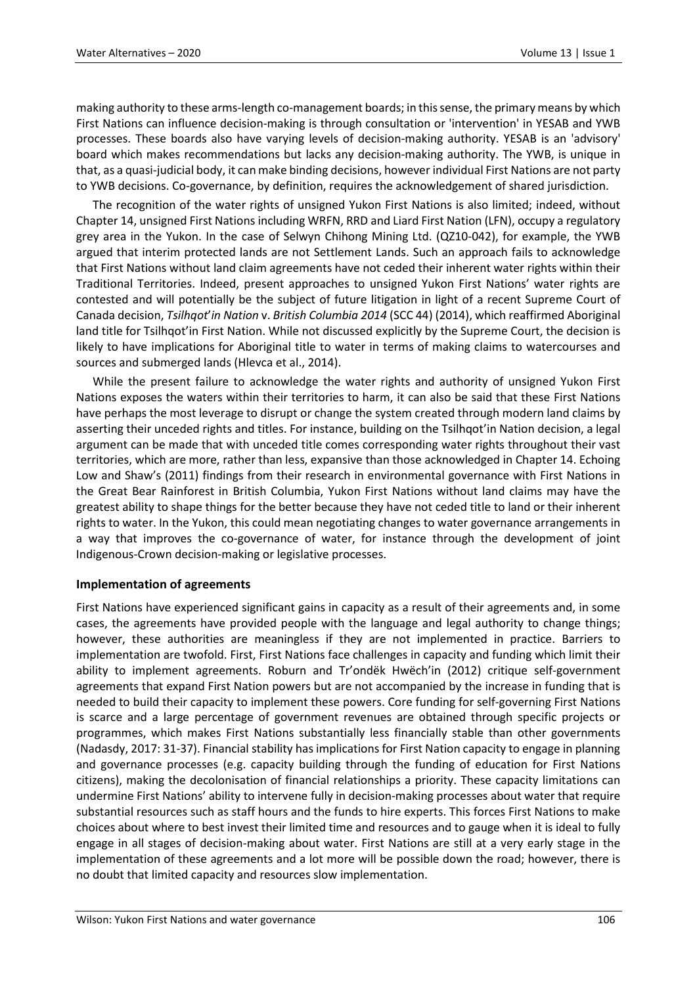making authority to these arms-length co-management boards; in this sense, the primary means by which First Nations can influence decision-making is through consultation or 'intervention' in YESAB and YWB processes. These boards also have varying levels of decision-making authority. YESAB is an 'advisory' board which makes recommendations but lacks any decision-making authority. The YWB, is unique in that, as a quasi-judicial body, it can make binding decisions, however individual First Nations are not party to YWB decisions. Co-governance, by definition, requires the acknowledgement of shared jurisdiction.

The recognition of the water rights of unsigned Yukon First Nations is also limited; indeed, without Chapter 14, unsigned First Nations including WRFN, RRD and Liard First Nation (LFN), occupy a regulatory grey area in the Yukon. In the case of Selwyn Chihong Mining Ltd. (QZ10-042), for example, the YWB argued that interim protected lands are not Settlement Lands. Such an approach fails to acknowledge that First Nations without land claim agreements have not ceded their inherent water rights within their Traditional Territories. Indeed, present approaches to unsigned Yukon First Nations' water rights are contested and will potentially be the subject of future litigation in light of a recent Supreme Court of Canada decision, *Tsilhqot*'*in Nation* v. *British Columbia 2014* (SCC 44) (2014), which reaffirmed Aboriginal land title for [Tsilhqot](https://en.wikipedia.org/wiki/Tsilhqot%27in)'in First Nation. While not discussed explicitly by the Supreme Court, the decision is likely to have implications for Aboriginal title to water in terms of making claims to watercourses and sources and submerged lands (Hlevca et al., 2014).

While the present failure to acknowledge the water rights and authority of unsigned Yukon First Nations exposes the waters within their territories to harm, it can also be said that these First Nations have perhaps the most leverage to disrupt or change the system created through modern land claims by asserting their unceded rights and titles. For instance, building on the Tsilhqot'in Nation decision, a legal argument can be made that with unceded title comes corresponding water rights throughout their vast territories, which are more, rather than less, expansive than those acknowledged in Chapter 14. Echoing Low and Shaw's (2011) findings from their research in environmental governance with First Nations in the Great Bear Rainforest in British Columbia, Yukon First Nations without land claims may have the greatest ability to shape things for the better because they have not ceded title to land or their inherent rights to water. In the Yukon, this could mean negotiating changes to water governance arrangements in a way that improves the co-governance of water, for instance through the development of joint Indigenous-Crown decision-making or legislative processes.

### **Implementation of agreements**

First Nations have experienced significant gains in capacity as a result of their agreements and, in some cases, the agreements have provided people with the language and legal authority to change things; however, these authorities are meaningless if they are not implemented in practice. Barriers to implementation are twofold. First, First Nations face challenges in capacity and funding which limit their ability to implement agreements. Roburn and Tr'ondëk Hwëch'in (2012) critique self-government agreements that expand First Nation powers but are not accompanied by the increase in funding that is needed to build their capacity to implement these powers. Core funding for self-governing First Nations is scarce and a large percentage of government revenues are obtained through specific projects or programmes, which makes First Nations substantially less financially stable than other governments (Nadasdy, 2017: 31-37). Financial stability has implications for First Nation capacity to engage in planning and governance processes (e.g. capacity building through the funding of education for First Nations citizens), making the decolonisation of financial relationships a priority. These capacity limitations can undermine First Nations' ability to intervene fully in decision-making processes about water that require substantial resources such as staff hours and the funds to hire experts. This forces First Nations to make choices about where to best invest their limited time and resources and to gauge when it is ideal to fully engage in all stages of decision-making about water. First Nations are still at a very early stage in the implementation of these agreements and a lot more will be possible down the road; however, there is no doubt that limited capacity and resources slow implementation.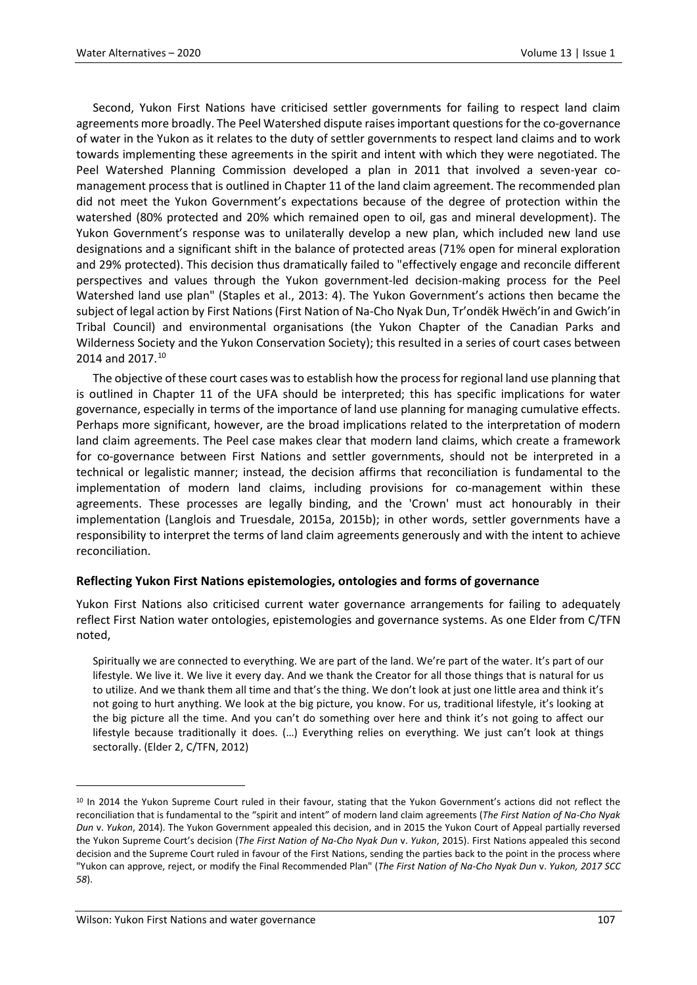Second, Yukon First Nations have criticised settler governments for failing to respect land claim agreements more broadly. The Peel Watershed dispute raises important questions for the co-governance of water in the Yukon as it relates to the duty of settler governments to respect land claims and to work towards implementing these agreements in the spirit and intent with which they were negotiated. The Peel Watershed Planning Commission developed a plan in 2011 that involved a seven-year comanagement process that is outlined in Chapter 11 of the land claim agreement. The recommended plan did not meet the Yukon Government's expectations because of the degree of protection within the watershed (80% protected and 20% which remained open to oil, gas and mineral development). The Yukon Government's response was to unilaterally develop a new plan, which included new land use designations and a significant shift in the balance of protected areas (71% open for mineral exploration and 29% protected). This decision thus dramatically failed to "effectively engage and reconcile different perspectives and values through the Yukon government-led decision-making process for the Peel Watershed land use plan" (Staples et al., 2013: 4). The Yukon Government's actions then became the subject of legal action by First Nations (First Nation of Na-Cho Nyak Dun, Tr'ondëk Hwëch'in and Gwich'in Tribal Council) and environmental organisations (the Yukon Chapter of the Canadian Parks and Wilderness Society and the Yukon Conservation Society); this resulted in a series of court cases between 2014 and 2017.<sup>[10](#page-14-0)</sup>

The objective of these court cases was to establish how the process for regional land use planning that is outlined in Chapter 11 of the UFA should be interpreted; this has specific implications for water governance, especially in terms of the importance of land use planning for managing cumulative effects. Perhaps more significant, however, are the broad implications related to the interpretation of modern land claim agreements. The Peel case makes clear that modern land claims, which create a framework for co-governance between First Nations and settler governments, should not be interpreted in a technical or legalistic manner; instead, the decision affirms that reconciliation is fundamental to the implementation of modern land claims, including provisions for co-management within these agreements. These processes are legally binding, and the 'Crown' must act honourably in their implementation (Langlois and Truesdale, 2015a, 2015b); in other words, settler governments have a responsibility to interpret the terms of land claim agreements generously and with the intent to achieve reconciliation.

### **Reflecting Yukon First Nations epistemologies, ontologies and forms of governance**

Yukon First Nations also criticised current water governance arrangements for failing to adequately reflect First Nation water ontologies, epistemologies and governance systems. As one Elder from C/TFN noted,

Spiritually we are connected to everything. We are part of the land. We're part of the water. It's part of our lifestyle. We live it. We live it every day. And we thank the Creator for all those things that is natural for us to utilize. And we thank them all time and that's the thing. We don't look at just one little area and think it's not going to hurt anything. We look at the big picture, you know. For us, traditional lifestyle, it's looking at the big picture all the time. And you can't do something over here and think it's not going to affect our lifestyle because traditionally it does. (…) Everything relies on everything. We just can't look at things sectorally. (Elder 2, C/TFN, 2012)

<span id="page-14-0"></span><sup>&</sup>lt;sup>10</sup> In 2014 the Yukon Supreme Court ruled in their favour, stating that the Yukon Government's actions did not reflect the reconciliation that is fundamental to the "spirit and intent" of modern land claim agreements (*The First Nation of Na-Cho Nyak Dun* v. *Yukon*, 2014). The Yukon Government appealed this decision, and in 2015 the Yukon Court of Appeal partially reversed the Yukon Supreme Court's decision (*The First Nation of Na-Cho Nyak Dun* v. *Yukon*, 2015). First Nations appealed this second decision and the Supreme Court ruled in favour of the First Nations, sending the parties back to the point in the process where "Yukon can approve, reject, or modify the Final Recommended Plan" (*The First Nation of Na-Cho Nyak Dun* v. *Yukon, 2017 SCC 58*).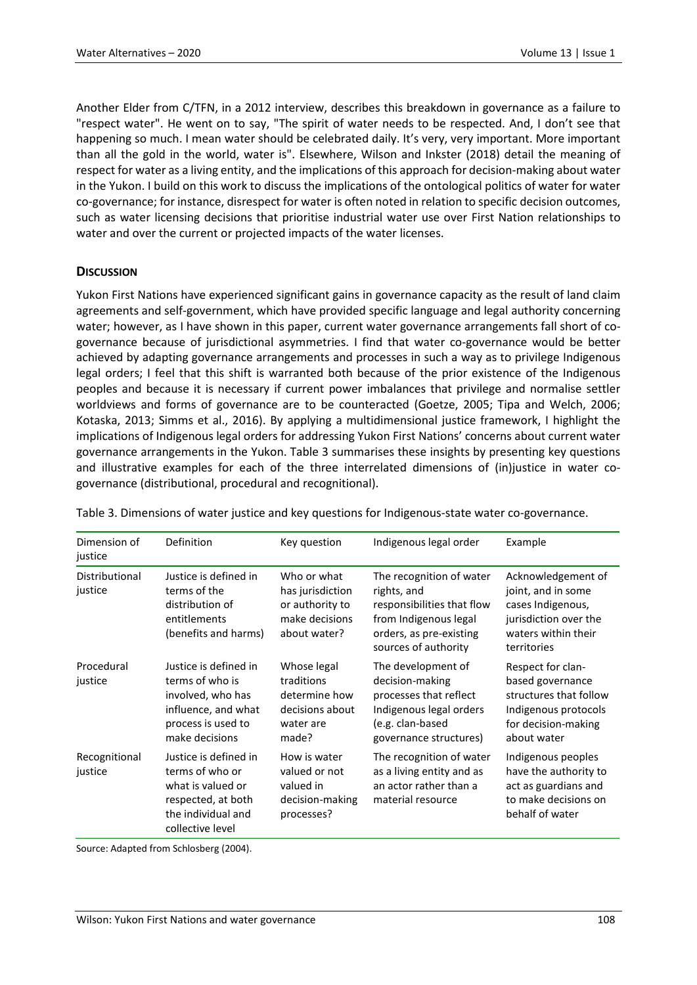Another Elder from C/TFN, in a 2012 interview, describes this breakdown in governance as a failure to "respect water". He went on to say, "The spirit of water needs to be respected. And, I don't see that happening so much. I mean water should be celebrated daily. It's very, very important. More important than all the gold in the world, water is". Elsewhere, Wilson and Inkster (2018) detail the meaning of respect for water as a living entity, and the implications of this approach for decision-making about water in the Yukon. I build on this work to discuss the implications of the ontological politics of water for water co-governance; for instance, disrespect for water is often noted in relation to specific decision outcomes, such as water licensing decisions that prioritise industrial water use over First Nation relationships to water and over the current or projected impacts of the water licenses.

## **DISCUSSION**

Yukon First Nations have experienced significant gains in governance capacity as the result of land claim agreements and self-government, which have provided specific language and legal authority concerning water; however, as I have shown in this paper, current water governance arrangements fall short of cogovernance because of jurisdictional asymmetries. I find that water co-governance would be better achieved by adapting governance arrangements and processes in such a way as to privilege Indigenous legal orders; I feel that this shift is warranted both because of the prior existence of the Indigenous peoples and because it is necessary if current power imbalances that privilege and normalise settler worldviews and forms of governance are to be counteracted (Goetze, 2005; Tipa and Welch, 2006; Kotaska, 2013; Simms et al., 2016). By applying a multidimensional justice framework, I highlight the implications of Indigenous legal orders for addressing Yukon First Nations' concerns about current water governance arrangements in the Yukon. Table 3 summarises these insights by presenting key questions and illustrative examples for each of the three interrelated dimensions of (in)justice in water cogovernance (distributional, procedural and recognitional).

| Dimension of<br>justice   | Definition                                                                                                                    | Key question                                                                         | Indigenous legal order                                                                                                                            | Example                                                                                                                       |
|---------------------------|-------------------------------------------------------------------------------------------------------------------------------|--------------------------------------------------------------------------------------|---------------------------------------------------------------------------------------------------------------------------------------------------|-------------------------------------------------------------------------------------------------------------------------------|
| Distributional<br>justice | Justice is defined in<br>terms of the<br>distribution of<br>entitlements<br>(benefits and harms)                              | Who or what<br>has jurisdiction<br>or authority to<br>make decisions<br>about water? | The recognition of water<br>rights, and<br>responsibilities that flow<br>from Indigenous legal<br>orders, as pre-existing<br>sources of authority | Acknowledgement of<br>joint, and in some<br>cases Indigenous,<br>jurisdiction over the<br>waters within their<br>territories  |
| Procedural<br>justice     | Justice is defined in<br>terms of who is<br>involved, who has<br>influence, and what<br>process is used to<br>make decisions  | Whose legal<br>traditions<br>determine how<br>decisions about<br>water are<br>made?  | The development of<br>decision-making<br>processes that reflect<br>Indigenous legal orders<br>(e.g. clan-based<br>governance structures)          | Respect for clan-<br>based governance<br>structures that follow<br>Indigenous protocols<br>for decision-making<br>about water |
| Recognitional<br>justice  | Justice is defined in<br>terms of who or<br>what is valued or<br>respected, at both<br>the individual and<br>collective level | How is water<br>valued or not<br>valued in<br>decision-making<br>processes?          | The recognition of water<br>as a living entity and as<br>an actor rather than a<br>material resource                                              | Indigenous peoples<br>have the authority to<br>act as guardians and<br>to make decisions on<br>behalf of water                |

Table 3. Dimensions of water justice and key questions for Indigenous-state water co-governance.

Source: Adapted from Schlosberg (2004).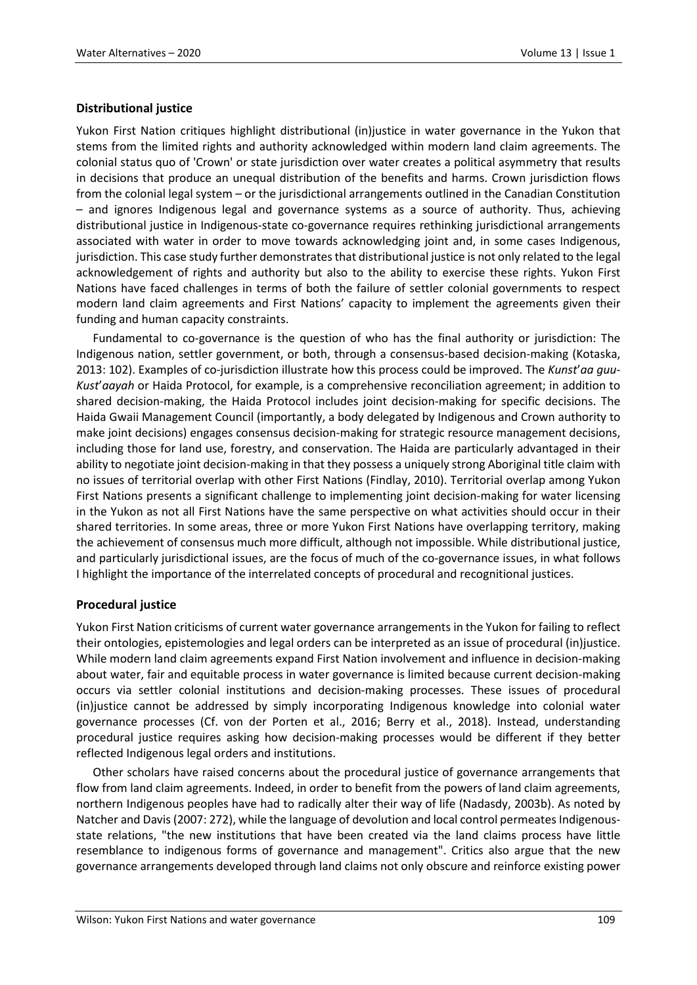## **Distributional justice**

Yukon First Nation critiques highlight distributional (in)justice in water governance in the Yukon that stems from the limited rights and authority acknowledged within modern land claim agreements. The colonial status quo of 'Crown' or state jurisdiction over water creates a political asymmetry that results in decisions that produce an unequal distribution of the benefits and harms. Crown jurisdiction flows from the colonial legal system – or the jurisdictional arrangements outlined in the Canadian Constitution – and ignores Indigenous legal and governance systems as a source of authority. Thus, achieving distributional justice in Indigenous-state co-governance requires rethinking jurisdictional arrangements associated with water in order to move towards acknowledging joint and, in some cases Indigenous, jurisdiction. This case study further demonstrates that distributional justice is not only related to the legal acknowledgement of rights and authority but also to the ability to exercise these rights. Yukon First Nations have faced challenges in terms of both the failure of settler colonial governments to respect modern land claim agreements and First Nations' capacity to implement the agreements given their funding and human capacity constraints.

Fundamental to co-governance is the question of who has the final authority or jurisdiction: The Indigenous nation, settler government, or both, through a consensus-based decision-making (Kotaska, 2013: 102). Examples of co-jurisdiction illustrate how this process could be improved. The *Kunst*'*aa guu-Kust*'*aayah* or Haida Protocol, for example, is a comprehensive reconciliation agreement; in addition to shared decision-making, the Haida Protocol includes joint decision-making for specific decisions. The Haida Gwaii Management Council (importantly, a body delegated by Indigenous and Crown authority to make joint decisions) engages consensus decision-making for strategic resource management decisions, including those for land use, forestry, and conservation. The Haida are particularly advantaged in their ability to negotiate joint decision-making in that they possess a uniquely strong Aboriginal title claim with no issues of territorial overlap with other First Nations (Findlay, 2010). Territorial overlap among Yukon First Nations presents a significant challenge to implementing joint decision-making for water licensing in the Yukon as not all First Nations have the same perspective on what activities should occur in their shared territories. In some areas, three or more Yukon First Nations have overlapping territory, making the achievement of consensus much more difficult, although not impossible. While distributional justice, and particularly jurisdictional issues, are the focus of much of the co-governance issues, in what follows I highlight the importance of the interrelated concepts of procedural and recognitional justices.

### **Procedural justice**

Yukon First Nation criticisms of current water governance arrangements in the Yukon for failing to reflect their ontologies, epistemologies and legal orders can be interpreted as an issue of procedural (in)justice. While modern land claim agreements expand First Nation involvement and influence in decision-making about water, fair and equitable process in water governance is limited because current decision-making occurs via settler colonial institutions and decision-making processes. These issues of procedural (in)justice cannot be addressed by simply incorporating Indigenous knowledge into colonial water governance processes (Cf. von der Porten et al., 2016; Berry et al., 2018). Instead, understanding procedural justice requires asking how decision-making processes would be different if they better reflected Indigenous legal orders and institutions.

Other scholars have raised concerns about the procedural justice of governance arrangements that flow from land claim agreements. Indeed, in order to benefit from the powers of land claim agreements, northern Indigenous peoples have had to radically alter their way of life (Nadasdy, 2003b). As noted by Natcher and Davis (2007: 272), while the language of devolution and local control permeates Indigenousstate relations, "the new institutions that have been created via the land claims process have little resemblance to indigenous forms of governance and management". Critics also argue that the new governance arrangements developed through land claims not only obscure and reinforce existing power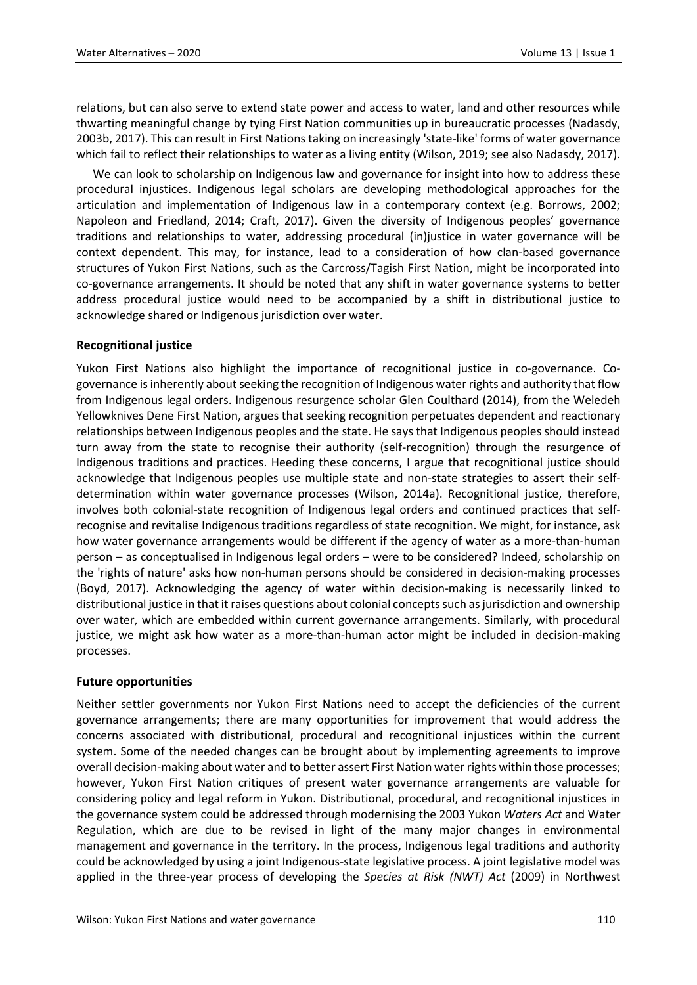relations, but can also serve to extend state power and access to water, land and other resources while thwarting meaningful change by tying First Nation communities up in bureaucratic processes (Nadasdy, 2003b, 2017). This can result in First Nations taking on increasingly 'state-like' forms of water governance which fail to reflect their relationships to water as a living entity (Wilson, 2019; see also Nadasdy, 2017).

We can look to scholarship on Indigenous law and governance for insight into how to address these procedural injustices. Indigenous legal scholars are developing methodological approaches for the articulation and implementation of Indigenous law in a contemporary context (e.g. Borrows, 2002; Napoleon and Friedland, 2014; Craft, 2017). Given the diversity of Indigenous peoples' governance traditions and relationships to water, addressing procedural (in)justice in water governance will be context dependent. This may, for instance, lead to a consideration of how clan-based governance structures of Yukon First Nations, such as the Carcross/Tagish First Nation, might be incorporated into co-governance arrangements. It should be noted that any shift in water governance systems to better address procedural justice would need to be accompanied by a shift in distributional justice to acknowledge shared or Indigenous jurisdiction over water.

## **Recognitional justice**

Yukon First Nations also highlight the importance of recognitional justice in co-governance. Cogovernance is inherently about seeking the recognition of Indigenous water rights and authority that flow from Indigenous legal orders. Indigenous resurgence scholar Glen Coulthard (2014), from the Weledeh Yellowknives Dene First Nation, argues that seeking recognition perpetuates dependent and reactionary relationships between Indigenous peoples and the state. He says that Indigenous peoples should instead turn away from the state to recognise their authority (self-recognition) through the resurgence of Indigenous traditions and practices. Heeding these concerns, I argue that recognitional justice should acknowledge that Indigenous peoples use multiple state and non-state strategies to assert their selfdetermination within water governance processes (Wilson, 2014a). Recognitional justice, therefore, involves both colonial-state recognition of Indigenous legal orders and continued practices that selfrecognise and revitalise Indigenous traditions regardless of state recognition. We might, for instance, ask how water governance arrangements would be different if the agency of water as a more-than-human person – as conceptualised in Indigenous legal orders – were to be considered? Indeed, scholarship on the 'rights of nature' asks how non-human persons should be considered in decision-making processes (Boyd, 2017). Acknowledging the agency of water within decision-making is necessarily linked to distributional justice in that it raises questions about colonial concepts such as jurisdiction and ownership over water, which are embedded within current governance arrangements. Similarly, with procedural justice, we might ask how water as a more-than-human actor might be included in decision-making processes.

### **Future opportunities**

Neither settler governments nor Yukon First Nations need to accept the deficiencies of the current governance arrangements; there are many opportunities for improvement that would address the concerns associated with distributional, procedural and recognitional injustices within the current system. Some of the needed changes can be brought about by implementing agreements to improve overall decision-making about water and to better assert First Nation water rights within those processes; however, Yukon First Nation critiques of present water governance arrangements are valuable for considering policy and legal reform in Yukon. Distributional, procedural, and recognitional injustices in the governance system could be addressed through modernising the 2003 Yukon *Waters Act* and Water Regulation, which are due to be revised in light of the many major changes in environmental management and governance in the territory. In the process, Indigenous legal traditions and authority could be acknowledged by using a joint Indigenous-state legislative process. A joint legislative model was applied in the three-year process of developing the *Species at Risk (NWT) Act* (2009) in Northwest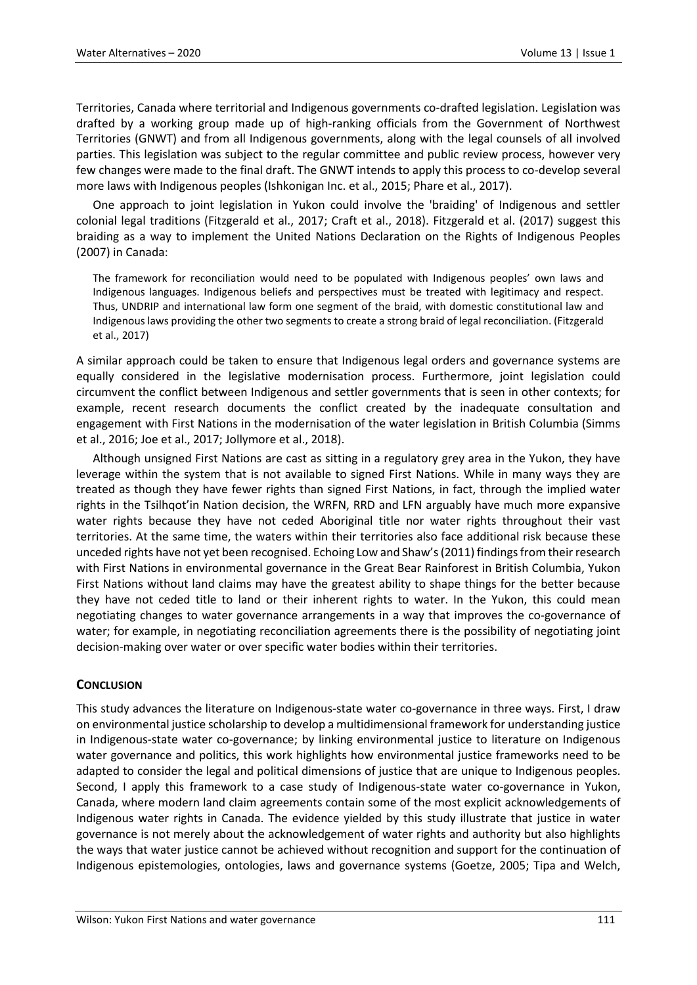Territories, Canada where territorial and Indigenous governments co-drafted legislation. Legislation was drafted by a working group made up of high-ranking officials from the Government of Northwest Territories (GNWT) and from all Indigenous governments, along with the legal counsels of all involved parties. This legislation was subject to the regular committee and public review process, however very few changes were made to the final draft. The GNWT intends to apply this process to co-develop several more laws with Indigenous peoples (Ishkonigan Inc. et al., 2015; Phare et al., 2017).

One approach to joint legislation in Yukon could involve the 'braiding' of Indigenous and settler colonial legal traditions (Fitzgerald et al., 2017; Craft et al., 2018). Fitzgerald et al. (2017) suggest this braiding as a way to implement the United Nations Declaration on the Rights of Indigenous Peoples (2007) in Canada:

The framework for reconciliation would need to be populated with Indigenous peoples' own laws and Indigenous languages. Indigenous beliefs and perspectives must be treated with legitimacy and respect. Thus, UNDRIP and international law form one segment of the braid, with domestic constitutional law and Indigenous laws providing the other two segments to create a strong braid of legal reconciliation. (Fitzgerald et al., 2017)

A similar approach could be taken to ensure that Indigenous legal orders and governance systems are equally considered in the legislative modernisation process. Furthermore, joint legislation could circumvent the conflict between Indigenous and settler governments that is seen in other contexts; for example, recent research documents the conflict created by the inadequate consultation and engagement with First Nations in the modernisation of the water legislation in British Columbia (Simms et al., 2016; Joe et al., 2017; Jollymore et al., 2018).

Although unsigned First Nations are cast as sitting in a regulatory grey area in the Yukon, they have leverage within the system that is not available to signed First Nations. While in many ways they are treated as though they have fewer rights than signed First Nations, in fact, through the implied water rights in the Tsilhqot'in Nation decision, the WRFN, RRD and LFN arguably have much more expansive water rights because they have not ceded Aboriginal title nor water rights throughout their vast territories. At the same time, the waters within their territories also face additional risk because these unceded rights have not yet been recognised. Echoing Low and Shaw's (2011) findings from their research with First Nations in environmental governance in the Great Bear Rainforest in British Columbia, Yukon First Nations without land claims may have the greatest ability to shape things for the better because they have not ceded title to land or their inherent rights to water. In the Yukon, this could mean negotiating changes to water governance arrangements in a way that improves the co-governance of water; for example, in negotiating reconciliation agreements there is the possibility of negotiating joint decision-making over water or over specific water bodies within their territories.

### **CONCLUSION**

This study advances the literature on Indigenous-state water co-governance in three ways. First, I draw on environmental justice scholarship to develop a multidimensional framework for understanding justice in Indigenous-state water co-governance; by linking environmental justice to literature on Indigenous water governance and politics, this work highlights how environmental justice frameworks need to be adapted to consider the legal and political dimensions of justice that are unique to Indigenous peoples. Second, I apply this framework to a case study of Indigenous-state water co-governance in Yukon, Canada, where modern land claim agreements contain some of the most explicit acknowledgements of Indigenous water rights in Canada. The evidence yielded by this study illustrate that justice in water governance is not merely about the acknowledgement of water rights and authority but also highlights the ways that water justice cannot be achieved without recognition and support for the continuation of Indigenous epistemologies, ontologies, laws and governance systems (Goetze, 2005; Tipa and Welch,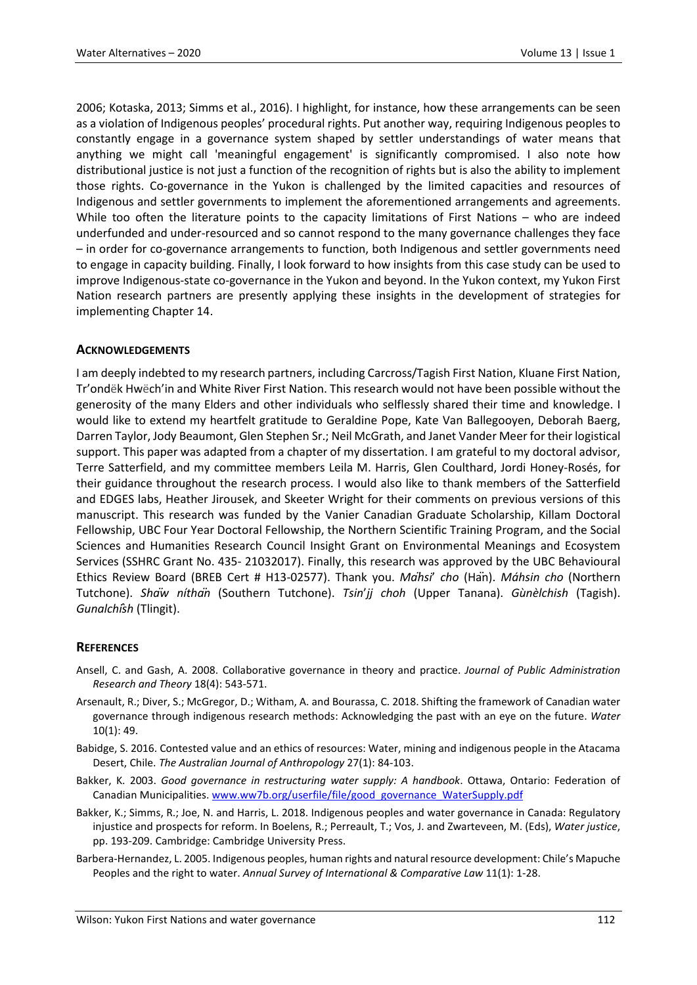2006; Kotaska, 2013; Simms et al., 2016). I highlight, for instance, how these arrangements can be seen as a violation of Indigenous peoples' procedural rights. Put another way, requiring Indigenous peoples to constantly engage in a governance system shaped by settler understandings of water means that anything we might call 'meaningful engagement' is significantly compromised. I also note how distributional justice is not just a function of the recognition of rights but is also the ability to implement those rights. Co-governance in the Yukon is challenged by the limited capacities and resources of Indigenous and settler governments to implement the aforementioned arrangements and agreements. While too often the literature points to the capacity limitations of First Nations – who are indeed underfunded and under-resourced and so cannot respond to the many governance challenges they face – in order for co-governance arrangements to function, both Indigenous and settler governments need to engage in capacity building. Finally, I look forward to how insights from this case study can be used to improve Indigenous-state co-governance in the Yukon and beyond. In the Yukon context, my Yukon First Nation research partners are presently applying these insights in the development of strategies for implementing Chapter 14.

### **ACKNOWLEDGEMENTS**

I am deeply indebted to my research partners, including Carcross/Tagish First Nation, Kluane First Nation, Tr'ondëk Hwëch'in and White River First Nation. This research would not have been possible without the generosity of the many Elders and other individuals who selflessly shared their time and knowledge. I would like to extend my heartfelt gratitude to Geraldine Pope, Kate Van Ballegooyen, Deborah Baerg, Darren Taylor, Jody Beaumont, Glen Stephen Sr.; Neil McGrath, and Janet Vander Meer for their logistical support. This paper was adapted from a chapter of my dissertation. I am grateful to my doctoral advisor, Terre Satterfield, and my committee members Leila M. Harris, Glen Coulthard, Jordi Honey-Rosés, for their guidance throughout the research process. I would also like to thank members of the Satterfield and EDGES labs, Heather Jirousek, and Skeeter Wright for their comments on previous versions of this manuscript. This research was funded by the Vanier Canadian Graduate Scholarship, Killam Doctoral Fellowship, UBC Four Year Doctoral Fellowship, the Northern Scientific Training Program, and the Social Sciences and Humanities Research Council Insight Grant on Environmental Meanings and Ecosystem Services (SSHRC Grant No. 435- 21032017). Finally, this research was approved by the UBC Behavioural Ethics Review Board (BREB Cert # H13-02577). Thank you. *Mähsi*' *cho* (Hän). *Máhsin cho* (Northern Tutchone). *Shäw níthän* (Southern Tutchone). *Tsin*'*jj choh* (Upper Tanana). *Gùnèlchish* (Tagish). *Gunalchîsh* (Tlingit).

### **REFERENCES**

- Ansell, C. and Gash, A. 2008. Collaborative governance in theory and practice. *Journal of Public Administration Research and Theory* 18(4): 543-571.
- Arsenault, R.; Diver, S.; McGregor, D.; Witham, A. and Bourassa, C. 2018. Shifting the framework of Canadian water governance through indigenous research methods: Acknowledging the past with an eye on the future. *Water* 10(1): 49.
- Babidge, S. 2016. Contested value and an ethics of resources: Water, mining and indigenous people in the Atacama Desert, Chile. *The Australian Journal of Anthropology* 27(1): 84-103.
- Bakker, K. 2003. *Good governance in restructuring water supply: A handbook*. Ottawa, Ontario: Federation of Canadian Municipalities. [www.ww7b.org/userfile/file/good\\_governance\\_WaterSupply.pdf](http://www.ww7b.org/userfile/file/good_governance_WaterSupply.pdf)
- Bakker, K.; Simms, R.; Joe, N. and Harris, L. 2018. Indigenous peoples and water governance in Canada: Regulatory injustice and prospects for reform. In Boelens, R.; Perreault, T.; Vos, J. and Zwarteveen, M. (Eds), *Water justice*, pp. 193-209. Cambridge: Cambridge University Press.
- Barbera-Hernandez, L. 2005. Indigenous peoples, human rights and natural resource development: Chile's Mapuche Peoples and the right to water. *Annual Survey of International & Comparative Law* 11(1): 1-28.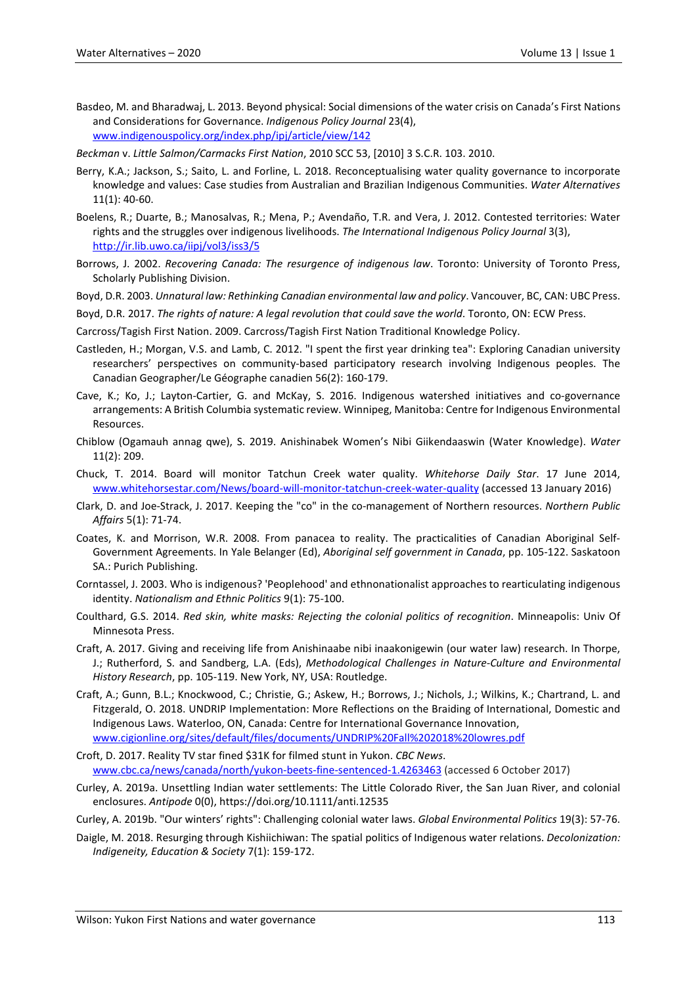Basdeo, M. and Bharadwaj, L. 2013. Beyond physical: Social dimensions of the water crisis on Canada's First Nations and Considerations for Governance. *Indigenous Policy Journal* 23(4), [www.indigenouspolicy.org/index.php/ipj/article/view/142](http://www.indigenouspolicy.org/index.php/ipj/article/view/142)

*Beckman* v. *Little Salmon/Carmacks First Nation*, 2010 SCC 53, [2010] 3 S.C.R. 103. 2010.

- Berry, K.A.; Jackson, S.; Saito, L. and Forline, L. 2018. Reconceptualising water quality governance to incorporate knowledge and values: Case studies from Australian and Brazilian Indigenous Communities. *Water Alternatives* 11(1): 40-60.
- Boelens, R.; Duarte, B.; Manosalvas, R.; Mena, P.; Avendaño, T.R. and Vera, J. 2012. Contested territories: Water rights and the struggles over indigenous livelihoods. *The International Indigenous Policy Journal* 3(3), <http://ir.lib.uwo.ca/iipj/vol3/iss3/5>
- Borrows, J. 2002. *Recovering Canada: The resurgence of indigenous law*. Toronto: University of Toronto Press, Scholarly Publishing Division.

Boyd, D.R. 2003. *Unnatural law: Rethinking Canadian environmental law and policy*. Vancouver, BC, CAN: UBC Press.

Boyd, D.R. 2017. *The rights of nature: A legal revolution that could save the world*. Toronto, ON: ECW Press.

Carcross/Tagish First Nation. 2009. Carcross/Tagish First Nation Traditional Knowledge Policy.

- Castleden, H.; Morgan, V.S. and Lamb, C. 2012. "I spent the first year drinking tea": Exploring Canadian university researchers' perspectives on community-based participatory research involving Indigenous peoples. The Canadian Geographer/Le Géographe canadien 56(2): 160-179.
- Cave, K.; Ko, J.; Layton-Cartier, G. and McKay, S. 2016. Indigenous watershed initiatives and co-governance arrangements: A British Columbia systematic review. Winnipeg, Manitoba: Centre for Indigenous Environmental Resources.
- Chiblow (Ogamauh annag qwe), S. 2019. Anishinabek Women's Nibi Giikendaaswin (Water Knowledge). *Water* 11(2): 209.
- Chuck, T. 2014. Board will monitor Tatchun Creek water quality. *Whitehorse Daily Star*. 17 June 2014, [www.whitehorsestar.com/News/board-will-monitor-tatchun-creek-water-quality](http://www.whitehorsestar.com/News/board-will-monitor-tatchun-creek-water-quality) (accessed 13 January 2016)
- Clark, D. and Joe-Strack, J. 2017. Keeping the "co" in the co-management of Northern resources. *Northern Public Affairs* 5(1): 71-74.
- Coates, K. and Morrison, W.R. 2008. From panacea to reality. The practicalities of Canadian Aboriginal Self-Government Agreements. In Yale Belanger (Ed), *Aboriginal self government in Canada*, pp. 105-122. Saskatoon SA.: Purich Publishing.
- Corntassel, J. 2003. Who is indigenous? 'Peoplehood' and ethnonationalist approaches to rearticulating indigenous identity. *Nationalism and Ethnic Politics* 9(1): 75-100.
- Coulthard, G.S. 2014. *Red skin, white masks: Rejecting the colonial politics of recognition*. Minneapolis: Univ Of Minnesota Press.
- Craft, A. 2017. Giving and receiving life from Anishinaabe nibi inaakonigewin (our water law) research. In Thorpe, J.; Rutherford, S. and Sandberg, L.A. (Eds), *Methodological Challenges in Nature-Culture and Environmental History Research*, pp. 105-119. New York, NY, USA: Routledge.
- Craft, A.; Gunn, B.L.; Knockwood, C.; Christie, G.; Askew, H.; Borrows, J.; Nichols, J.; Wilkins, K.; Chartrand, L. and Fitzgerald, O. 2018. UNDRIP Implementation: More Reflections on the Braiding of International, Domestic and Indigenous Laws. Waterloo, ON, Canada: Centre for International Governance Innovation, [www.cigionline.org/sites/default/files/documents/UNDRIP%20Fall%202018%20lowres.pdf](http://www.cigionline.org/sites/default/files/documents/UNDRIP%20Fall%202018%20lowres.pdf)
- Croft, D. 2017. Reality TV star fined \$31K for filmed stunt in Yukon. *CBC News*. [www.cbc.ca/news/canada/north/yukon-beets-fine-sentenced-1.4263463](http://www.cbc.ca/news/canada/north/yukon-beets-fine-sentenced-1.4263463) (accessed 6 October 2017)
- Curley, A. 2019a. Unsettling Indian water settlements: The Little Colorado River, the San Juan River, and colonial enclosures. *Antipode* 0(0), https://doi.org/10.1111/anti.12535
- Curley, A. 2019b. "Our winters' rights": Challenging colonial water laws. *Global Environmental Politics* 19(3): 57-76.
- Daigle, M. 2018. Resurging through Kishiichiwan: The spatial politics of Indigenous water relations. *Decolonization: Indigeneity, Education & Society* 7(1): 159-172.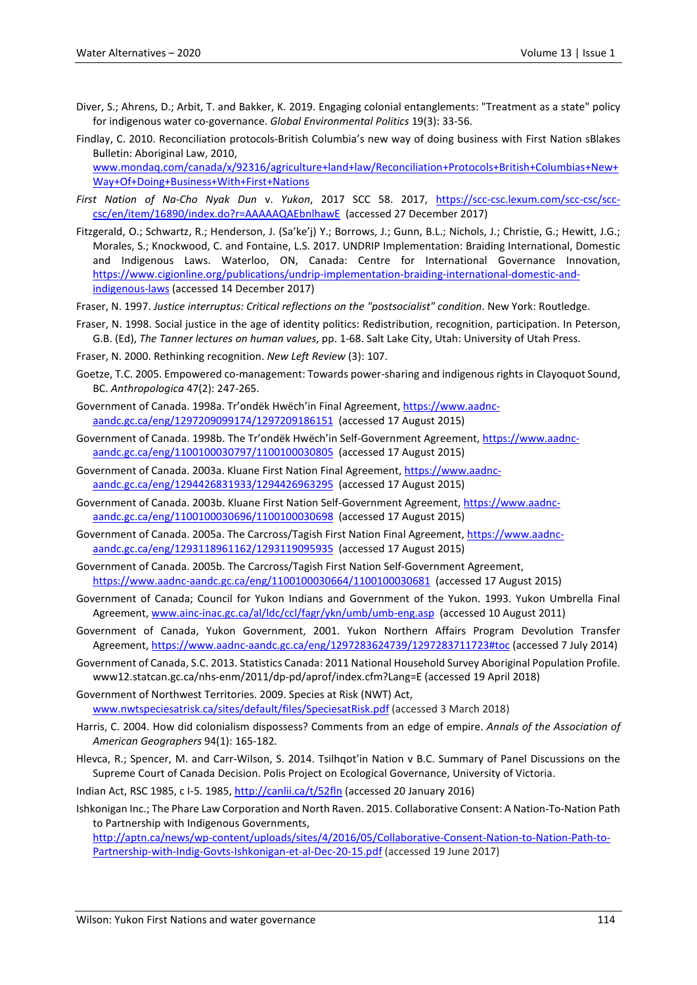- Diver, S.; Ahrens, D.; Arbit, T. and Bakker, K. 2019. Engaging colonial entanglements: "Treatment as a state" policy for indigenous water co-governance. *Global Environmental Politics* 19(3): 33-56.
- Findlay, C. 2010. Reconciliation protocols-British Columbia's new way of doing business with First Nation sBlakes Bulletin: Aboriginal Law, 2010, [www.mondaq.com/canada/x/92316/agriculture+land+law/Reconciliation+Protocols+British+Columbias+New+](http://www.mondaq.com/canada/x/92316/agriculture+land+law/Reconciliation+Protocols+British+Columbias+New+Way+Of+Doing+Business+With+First+Nations) [Way+Of+Doing+Business+With+First+Nations](http://www.mondaq.com/canada/x/92316/agriculture+land+law/Reconciliation+Protocols+British+Columbias+New+Way+Of+Doing+Business+With+First+Nations)
- *First Nation of Na-Cho Nyak Dun* v. *Yukon*, 2017 SCC 58. 2017, [https://scc-csc.lexum.com/scc-csc/scc](https://scc-csc.lexum.com/scc-csc/scc-csc/en/item/16890/index.do?r=AAAAAQAEbnlhawE)[csc/en/item/16890/index.do?r=AAAAAQAEbnlhawE](https://scc-csc.lexum.com/scc-csc/scc-csc/en/item/16890/index.do?r=AAAAAQAEbnlhawE) (accessed 27 December 2017)
- Fitzgerald, O.; Schwartz, R.; Henderson, J. (Sa'ke'j) Y.; Borrows, J.; Gunn, B.L.; Nichols, J.; Christie, G.; Hewitt, J.G.; Morales, S.; Knockwood, C. and Fontaine, L.S. 2017. UNDRIP Implementation: Braiding International, Domestic and Indigenous Laws. Waterloo, ON, Canada: Centre for International Governance Innovation, [https://www.cigionline.org/publications/undrip-implementation-braiding-international-domestic-and](https://www.cigionline.org/publications/undrip-implementation-braiding-international-domestic-and-indigenous-laws)[indigenous-laws](https://www.cigionline.org/publications/undrip-implementation-braiding-international-domestic-and-indigenous-laws) (accessed 14 December 2017)
- Fraser, N. 1997. *Justice interruptus: Critical reflections on the "postsocialist" condition*. New York: Routledge.
- Fraser, N. 1998. Social justice in the age of identity politics: Redistribution, recognition, participation. In Peterson, G.B. (Ed), *The Tanner lectures on human values*, pp. 1-68. Salt Lake City, Utah: University of Utah Press.
- Fraser, N. 2000. Rethinking recognition. *New Left Review* (3): 107.
- Goetze, T.C. 2005. Empowered co-management: Towards power-sharing and indigenous rights in Clayoquot Sound, BC. *Anthropologica* 47(2): 247-265.
- Government of Canada. 1998a. Tr'ondëk Hwëch'in Final Agreement[, https://www.aadnc](https://www.aadnc-aandc.gc.ca/eng/1297209099174/1297209186151)[aandc.gc.ca/eng/1297209099174/1297209186151](https://www.aadnc-aandc.gc.ca/eng/1297209099174/1297209186151) (accessed 17 August 2015)
- Government of Canada. 1998b. The Tr'ondëk Hwëch'in Self-Government Agreement[, https://www.aadnc](https://www.aadnc-aandc.gc.ca/eng/1100100030797/1100100030805)[aandc.gc.ca/eng/1100100030797/1100100030805](https://www.aadnc-aandc.gc.ca/eng/1100100030797/1100100030805) (accessed 17 August 2015)
- Government of Canada. 2003a. Kluane First Nation Final Agreement[, https://www.aadnc](https://www.aadnc-aandc.gc.ca/eng/1294426831933/1294426963295)[aandc.gc.ca/eng/1294426831933/1294426963295](https://www.aadnc-aandc.gc.ca/eng/1294426831933/1294426963295) (accessed 17 August 2015)
- Government of Canada. 2003b. Kluane First Nation Self-Government Agreement, [https://www.aadnc](https://www.aadnc-aandc.gc.ca/eng/1100100030696/1100100030698)[aandc.gc.ca/eng/1100100030696/1100100030698](https://www.aadnc-aandc.gc.ca/eng/1100100030696/1100100030698) (accessed 17 August 2015)
- Government of Canada. 2005a. The Carcross/Tagish First Nation Final Agreement, [https://www.aadnc](https://www.aadnc-aandc.gc.ca/eng/1293118961162/1293119095935)[aandc.gc.ca/eng/1293118961162/1293119095935](https://www.aadnc-aandc.gc.ca/eng/1293118961162/1293119095935) (accessed 17 August 2015)
- Government of Canada. 2005b. The Carcross/Tagish First Nation Self-Government Agreement, <https://www.aadnc-aandc.gc.ca/eng/1100100030664/1100100030681> (accessed 17 August 2015)
- Government of Canada; Council for Yukon Indians and Government of the Yukon. 1993. Yukon Umbrella Final Agreement[, www.ainc-inac.gc.ca/al/ldc/ccl/fagr/ykn/umb/umb-eng.asp](http://www.ainc-inac.gc.ca/al/ldc/ccl/fagr/ykn/umb/umb-eng.asp) (accessed 10 August 2011)
- Government of Canada, Yukon Government, 2001. Yukon Northern Affairs Program Devolution Transfer Agreement[, https://www.aadnc-aandc.gc.ca/eng/1297283624739/1297283711723#toc](https://www.aadnc-aandc.gc.ca/eng/1297283624739/1297283711723#toc) (accessed 7 July 2014)
- Government of Canada, S.C. 2013. Statistics Canada: 2011 National Household Survey Aboriginal Population Profile. www12.statcan.gc.ca/nhs-enm/2011/dp-pd/aprof/index.cfm?Lang=E (accessed 19 April 2018)
- Government of Northwest Territories. 2009. Species at Risk (NWT) Act, [www.nwtspeciesatrisk.ca/sites/default/files/SpeciesatRisk.pdf](http://www.nwtspeciesatrisk.ca/sites/default/files/SpeciesatRisk.pdf) (accessed 3 March 2018)
- Harris, C. 2004. How did colonialism dispossess? Comments from an edge of empire. *Annals of the Association of American Geographers* 94(1): 165-182.
- Hlevca, R.; Spencer, M. and Carr-Wilson, S. 2014. Tsilhqot'in Nation v B.C. Summary of Panel Discussions on the Supreme Court of Canada Decision. Polis Project on Ecological Governance, University of Victoria.
- Indian Act, RSC 1985, c I-5. 1985[, http://canlii.ca/t/52fln](http://canlii.ca/t/52fln) (accessed 20 January 2016)

Ishkonigan Inc.; The Phare Law Corporation and North Raven. 2015. Collaborative Consent: A Nation-To-Nation Path to Partnership with Indigenous Governments,

[http://aptn.ca/news/wp-content/uploads/sites/4/2016/05/Collaborative-Consent-Nation-to-Nation-Path-to-](http://aptn.ca/news/wp-content/uploads/sites/4/2016/05/Collaborative-Consent-Nation-to-Nation-Path-to-Partnership-with-Indig-Govts-Ishkonigan-et-al-Dec-20-15.pdf)[Partnership-with-Indig-Govts-Ishkonigan-et-al-Dec-20-15.pdf](http://aptn.ca/news/wp-content/uploads/sites/4/2016/05/Collaborative-Consent-Nation-to-Nation-Path-to-Partnership-with-Indig-Govts-Ishkonigan-et-al-Dec-20-15.pdf) (accessed 19 June 2017)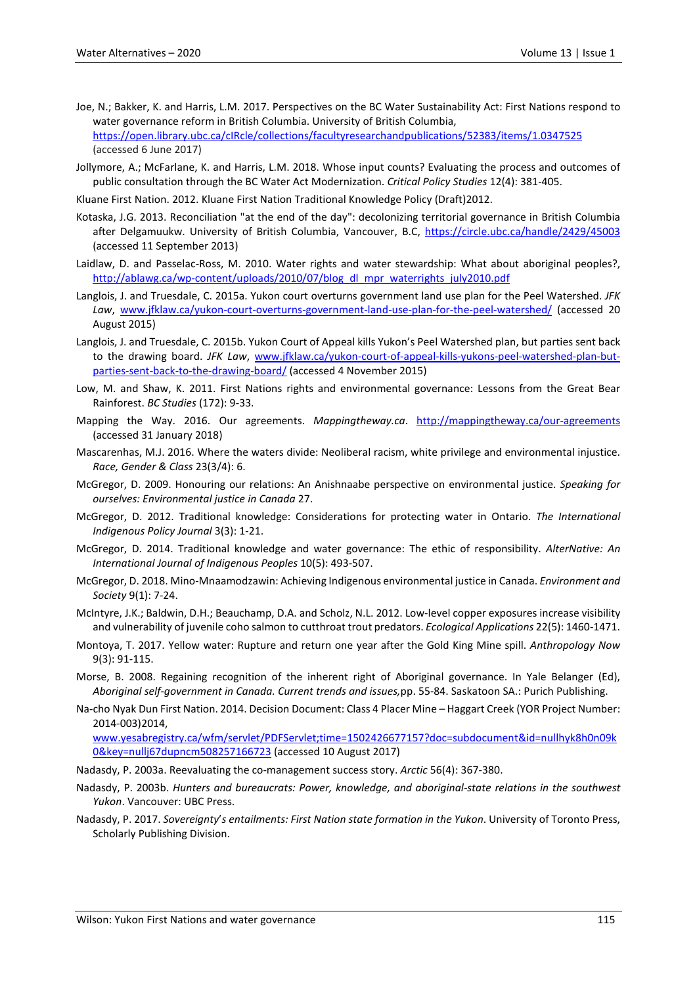- Joe, N.; Bakker, K. and Harris, L.M. 2017. Perspectives on the BC Water Sustainability Act: First Nations respond to water governance reform in British Columbia. University of British Columbia, <https://open.library.ubc.ca/cIRcle/collections/facultyresearchandpublications/52383/items/1.0347525> (accessed 6 June 2017)
- Jollymore, A.; McFarlane, K. and Harris, L.M. 2018. Whose input counts? Evaluating the process and outcomes of public consultation through the BC Water Act Modernization. *Critical Policy Studies* 12(4): 381-405.
- Kluane First Nation. 2012. Kluane First Nation Traditional Knowledge Policy (Draft)2012.
- Kotaska, J.G. 2013. Reconciliation "at the end of the day": decolonizing territorial governance in British Columbia after Delgamuukw. University of British Columbia, Vancouver, B.C,<https://circle.ubc.ca/handle/2429/45003> (accessed 11 September 2013)
- Laidlaw, D. and Passelac-Ross, M. 2010. Water rights and water stewardship: What about aboriginal peoples?, [http://ablawg.ca/wp-content/uploads/2010/07/blog\\_dl\\_mpr\\_waterrights\\_july2010.pdf](http://ablawg.ca/wp-content/uploads/2010/07/blog_dl_mpr_waterrights_july2010.pdf)
- Langlois, J. and Truesdale, C. 2015a. Yukon court overturns government land use plan for the Peel Watershed. *JFK Law*, [www.jfklaw.ca/yukon-court-overturns-government-land-use-plan-for-the-peel-watershed/](http://www.jfklaw.ca/yukon-court-overturns-government-land-use-plan-for-the-peel-watershed/) (accessed 20 August 2015)
- Langlois, J. and Truesdale, C. 2015b. Yukon Court of Appeal kills Yukon's Peel Watershed plan, but parties sent back to the drawing board. *JFK Law*, [www.jfklaw.ca/yukon-court-of-appeal-kills-yukons-peel-watershed-plan-but](http://www.jfklaw.ca/yukon-court-of-appeal-kills-yukons-peel-watershed-plan-but-parties-sent-back-to-the-drawing-board/)[parties-sent-back-to-the-drawing-board/](http://www.jfklaw.ca/yukon-court-of-appeal-kills-yukons-peel-watershed-plan-but-parties-sent-back-to-the-drawing-board/) (accessed 4 November 2015)
- Low, M. and Shaw, K. 2011. First Nations rights and environmental governance: Lessons from the Great Bear Rainforest. *BC Studies* (172): 9-33.
- Mapping the Way. 2016. Our agreements. *Mappingtheway.ca*. <http://mappingtheway.ca/our-agreements> (accessed 31 January 2018)
- Mascarenhas, M.J. 2016. Where the waters divide: Neoliberal racism, white privilege and environmental injustice. *Race, Gender & Class* 23(3/4): 6.
- McGregor, D. 2009. Honouring our relations: An Anishnaabe perspective on environmental justice. *Speaking for ourselves: Environmental justice in Canada* 27.
- McGregor, D. 2012. Traditional knowledge: Considerations for protecting water in Ontario. *The International Indigenous Policy Journal* 3(3): 1-21.
- McGregor, D. 2014. Traditional knowledge and water governance: The ethic of responsibility. *AlterNative: An International Journal of Indigenous Peoples* 10(5): 493-507.
- McGregor, D. 2018. Mino-Mnaamodzawin: Achieving Indigenous environmental justice in Canada. *Environment and Society* 9(1): 7-24.
- McIntyre, J.K.; Baldwin, D.H.; Beauchamp, D.A. and Scholz, N.L. 2012. Low-level copper exposures increase visibility and vulnerability of juvenile coho salmon to cutthroat trout predators. *Ecological Applications* 22(5): 1460-1471.
- Montoya, T. 2017. Yellow water: Rupture and return one year after the Gold King Mine spill. *Anthropology Now* 9(3): 91-115.
- Morse, B. 2008. Regaining recognition of the inherent right of Aboriginal governance. In Yale Belanger (Ed), *Aboriginal self-government in Canada. Current trends and issues,*pp. 55-84. Saskatoon SA.: Purich Publishing.
- Na-cho Nyak Dun First Nation. 2014. Decision Document: Class 4 Placer Mine Haggart Creek (YOR Project Number: 2014-003)2014,

[www.yesabregistry.ca/wfm/servlet/PDFServlet;time=1502426677157?doc=subdocument&id=nullhyk8h0n09k](http://www.yesabregistry.ca/wfm/servlet/PDFServlet;time=1502426677157?doc=subdocument&id=nullhyk8h0n09k0&key=nullj67dupncm508257166723) [0&key=nullj67dupncm508257166723](http://www.yesabregistry.ca/wfm/servlet/PDFServlet;time=1502426677157?doc=subdocument&id=nullhyk8h0n09k0&key=nullj67dupncm508257166723) (accessed 10 August 2017)

- Nadasdy, P. 2003a. Reevaluating the co-management success story. *Arctic* 56(4): 367-380.
- Nadasdy, P. 2003b. *Hunters and bureaucrats: Power, knowledge, and aboriginal-state relations in the southwest Yukon*. Vancouver: UBC Press.
- Nadasdy, P. 2017. *Sovereignty*'*s entailments: First Nation state formation in the Yukon*. University of Toronto Press, Scholarly Publishing Division.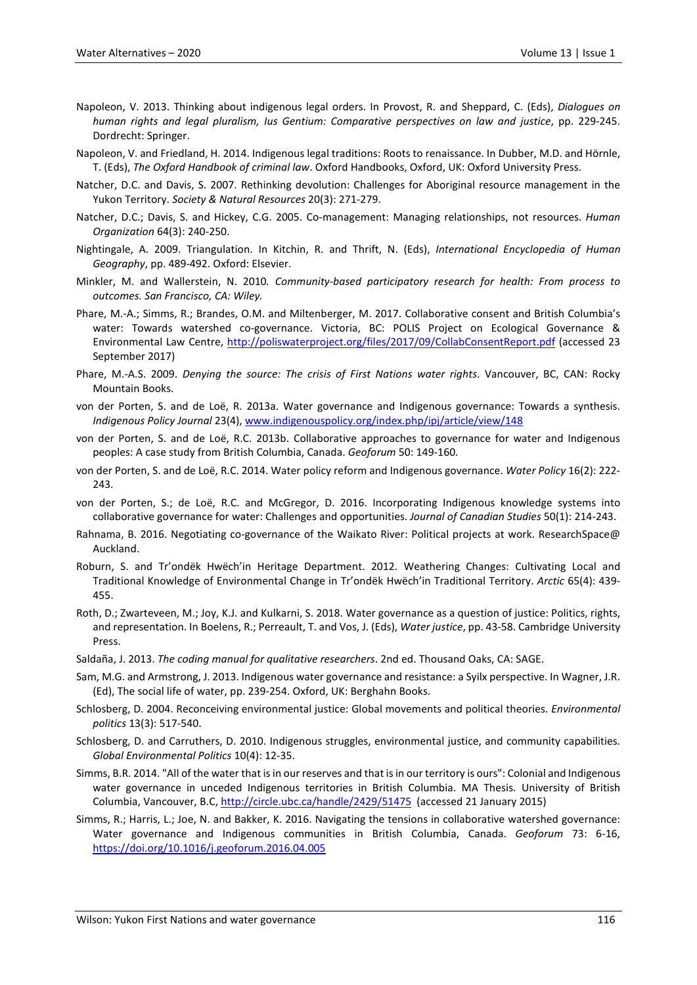- Napoleon, V. 2013. Thinking about indigenous legal orders. In Provost, R. and Sheppard, C. (Eds), *Dialogues on human rights and legal pluralism, Ius Gentium: Comparative perspectives on law and justice*, pp. 229-245. Dordrecht: Springer.
- Napoleon, V. and Friedland, H. 2014. Indigenous legal traditions: Roots to renaissance. In Dubber, M.D. and Hörnle, T. (Eds), *The Oxford Handbook of criminal law*. Oxford Handbooks, Oxford, UK: Oxford University Press.
- Natcher, D.C. and Davis, S. 2007. Rethinking devolution: Challenges for Aboriginal resource management in the Yukon Territory. *Society & Natural Resources* 20(3): 271-279.
- Natcher, D.C.; Davis, S. and Hickey, C.G. 2005. Co-management: Managing relationships, not resources. *Human Organization* 64(3): 240-250.
- Nightingale, A. 2009. Triangulation. In Kitchin, R. and Thrift, N. (Eds), *International Encyclopedia of Human Geography*, pp. 489-492. Oxford: Elsevier.
- Minkler, M. and Wallerstein, N. 2010*. Community-based participatory research for health: From process to outcomes. San Francisco, CA: Wiley.*
- Phare, M.-A.; Simms, R.; Brandes, O.M. and Miltenberger, M. 2017. Collaborative consent and British Columbia's water: Towards watershed co-governance. Victoria, BC: POLIS Project on Ecological Governance & Environmental Law Centre,<http://poliswaterproject.org/files/2017/09/CollabConsentReport.pdf> (accessed 23 September 2017)
- Phare, M.-A.S. 2009. *Denying the source: The crisis of First Nations water rights*. Vancouver, BC, CAN: Rocky Mountain Books.
- von der Porten, S. and de Loë, R. 2013a. Water governance and Indigenous governance: Towards a synthesis. *Indigenous Policy Journal* 23(4)[, www.indigenouspolicy.org/index.php/ipj/article/view/148](http://www.indigenouspolicy.org/index.php/ipj/article/view/148)
- von der Porten, S. and de Loë, R.C. 2013b. Collaborative approaches to governance for water and Indigenous peoples: A case study from British Columbia, Canada. *Geoforum* 50: 149-160.
- von der Porten, S. and de Loë, R.C. 2014. Water policy reform and Indigenous governance. *Water Policy* 16(2): 222- 243.
- von der Porten, S.; de Loë, R.C. and McGregor, D. 2016. Incorporating Indigenous knowledge systems into collaborative governance for water: Challenges and opportunities. *Journal of Canadian Studies* 50(1): 214-243.
- Rahnama, B. 2016. Negotiating co-governance of the Waikato River: Political projects at work. ResearchSpace@ Auckland.
- Roburn, S. and Tr'ondëk Hwëch'in Heritage Department. 2012. Weathering Changes: Cultivating Local and Traditional Knowledge of Environmental Change in Tr'ondëk Hwëch'in Traditional Territory. *Arctic* 65(4): 439- 455.
- Roth, D.; Zwarteveen, M.; Joy, K.J. and Kulkarni, S. 2018. Water governance as a question of justice: Politics, rights, and representation. In Boelens, R.; Perreault, T. and Vos, J. (Eds), *Water justice*, pp. 43-58. Cambridge University Press.
- Saldaña, J. 2013. *The coding manual for qualitative researchers*. 2nd ed. Thousand Oaks, CA: SAGE.
- Sam, M.G. and Armstrong, J. 2013. Indigenous water governance and resistance: a Syilx perspective. In Wagner, J.R. (Ed), The social life of water, pp. 239-254. Oxford, UK: Berghahn Books.
- Schlosberg, D. 2004. Reconceiving environmental justice: Global movements and political theories. *Environmental politics* 13(3): 517-540.
- Schlosberg, D. and Carruthers, D. 2010. Indigenous struggles, environmental justice, and community capabilities. *Global Environmental Politics* 10(4): 12-35.
- Simms, B.R. 2014. "All of the water that is in our reserves and that is in our territory is ours": Colonial and Indigenous water governance in unceded Indigenous territories in British Columbia. MA Thesis. University of British Columbia, Vancouver, B.C,<http://circle.ubc.ca/handle/2429/51475> (accessed 21 January 2015)
- Simms, R.; Harris, L.; Joe, N. and Bakker, K. 2016. Navigating the tensions in collaborative watershed governance: Water governance and Indigenous communities in British Columbia, Canada. *Geoforum* 73: 6-16, <https://doi.org/10.1016/j.geoforum.2016.04.005>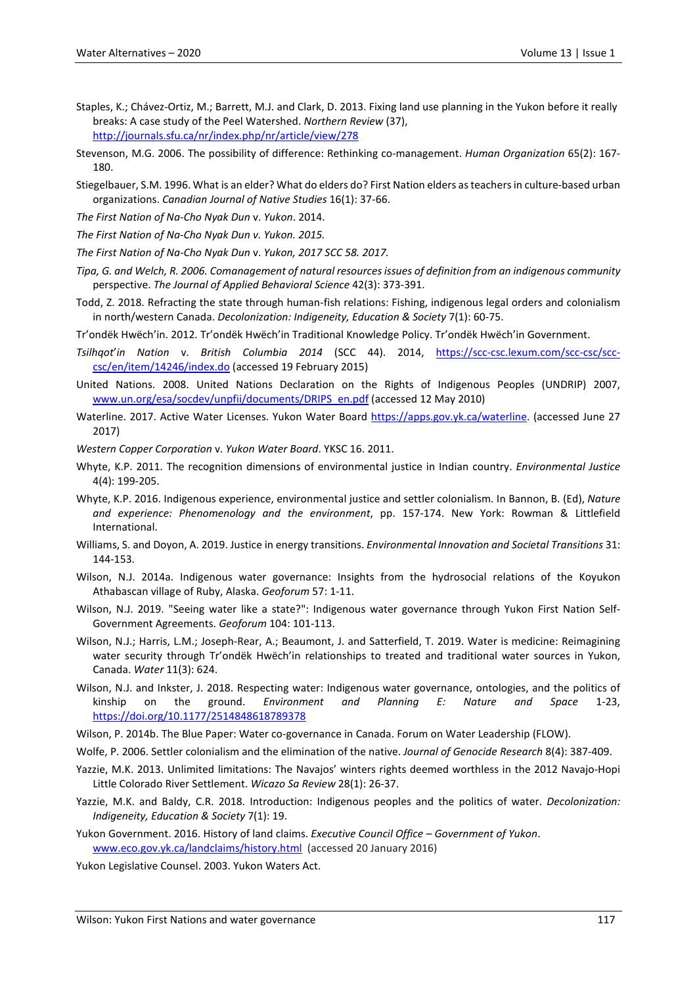- Staples, K.; Chávez-Ortiz, M.; Barrett, M.J. and Clark, D. 2013. Fixing land use planning in the Yukon before it really breaks: A case study of the Peel Watershed. *Northern Review* (37), <http://journals.sfu.ca/nr/index.php/nr/article/view/278>
- Stevenson, M.G. 2006. The possibility of difference: Rethinking co-management. *Human Organization* 65(2): 167- 180.
- Stiegelbauer, S.M. 1996. What is an elder? What do elders do? First Nation elders as teachers in culture-based urban organizations. *Canadian Journal of Native Studies* 16(1): 37-66.
- *The First Nation of Na-Cho Nyak Dun* v. *Yukon*. 2014.
- *The First Nation of Na-Cho Nyak Dun v. Yukon. 2015.*
- *The First Nation of Na-Cho Nyak Dun* v. *Yukon, 2017 SCC 58. 2017.*
- *Tipa, G. and Welch, R. 2006. Comanagement of natural resources issues of definition from an indigenous community* perspective. *The Journal of Applied Behavioral Science* 42(3): 373-391.
- Todd, Z. 2018. Refracting the state through human-fish relations: Fishing, indigenous legal orders and colonialism in north/western Canada. *Decolonization: Indigeneity, Education & Society* 7(1): 60-75.
- Tr'ondëk Hwëch'in. 2012. Tr'ondëk Hwëch'in Traditional Knowledge Policy. Tr'ondëk Hwëch'in Government.
- *Tsilhqot*'*in Nation* v. *British Columbia 2014* (SCC 44). 2014, [https://scc-csc.lexum.com/scc-csc/scc](https://scc-csc.lexum.com/scc-csc/scc-csc/en/item/14246/index.do)[csc/en/item/14246/index.do](https://scc-csc.lexum.com/scc-csc/scc-csc/en/item/14246/index.do) (accessed 19 February 2015)
- United Nations. 2008. United Nations Declaration on the Rights of Indigenous Peoples (UNDRIP) 2007, [www.un.org/esa/socdev/unpfii/documents/DRIPS\\_en.pdf](http://www.un.org/esa/socdev/unpfii/documents/DRIPS_en.pdf) (accessed 12 May 2010)
- Waterline. 2017. Active Water Licenses. Yukon Water Board [https://apps.gov.yk.ca/waterline.](https://apps.gov.yk.ca/waterline) (accessed June 27 2017)
- *Western Copper Corporation* v. *Yukon Water Board*. YKSC 16. 2011.
- Whyte, K.P. 2011. The recognition dimensions of environmental justice in Indian country. *Environmental Justice* 4(4): 199-205.
- Whyte, K.P. 2016. Indigenous experience, environmental justice and settler colonialism. In Bannon, B. (Ed), *Nature and experience: Phenomenology and the environment*, pp. 157-174. New York: Rowman & Littlefield International.
- Williams, S. and Doyon, A. 2019. Justice in energy transitions. *Environmental Innovation and Societal Transitions* 31: 144-153.
- Wilson, N.J. 2014a. Indigenous water governance: Insights from the hydrosocial relations of the Koyukon Athabascan village of Ruby, Alaska. *Geoforum* 57: 1-11.
- Wilson, N.J. 2019. "Seeing water like a state?": Indigenous water governance through Yukon First Nation Self-Government Agreements. *Geoforum* 104: 101-113.
- Wilson, N.J.; Harris, L.M.; Joseph-Rear, A.; Beaumont, J. and Satterfield, T. 2019. Water is medicine: Reimagining water security through Tr'ondëk Hwëch'in relationships to treated and traditional water sources in Yukon, Canada. *Water* 11(3): 624.
- Wilson, N.J. and Inkster, J. 2018. Respecting water: Indigenous water governance, ontologies, and the politics of kinship on the ground. *Environment and Planning E: Nature and Space* 1-23, <https://doi.org/10.1177/2514848618789378>

Wilson, P. 2014b. The Blue Paper: Water co-governance in Canada. Forum on Water Leadership (FLOW).

Wolfe, P. 2006. Settler colonialism and the elimination of the native. *Journal of Genocide Research* 8(4): 387-409.

- Yazzie, M.K. 2013. Unlimited limitations: The Navajos' winters rights deemed worthless in the 2012 Navajo-Hopi Little Colorado River Settlement. *Wicazo Sa Review* 28(1): 26-37.
- Yazzie, M.K. and Baldy, C.R. 2018. Introduction: Indigenous peoples and the politics of water. *Decolonization: Indigeneity, Education & Society* 7(1): 19.
- Yukon Government. 2016. History of land claims. *Executive Council Office – Government of Yukon*. [www.eco.gov.yk.ca/landclaims/history.html](http://www.eco.gov.yk.ca/landclaims/history.html) (accessed 20 January 2016)

Yukon Legislative Counsel. 2003. Yukon Waters Act.